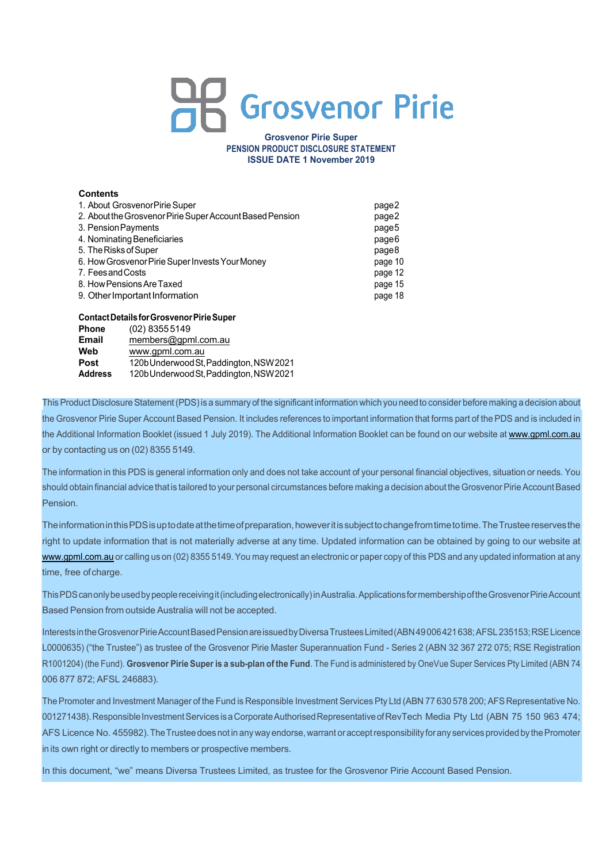# **Grosvenor Pirie**

**Grosvenor Pirie Super PENSION PRODUCT DISCLOSURE STATEMENT ISSUE DATE 1 November 2019**

# **Contents**

| 1. About Grosvenor Pirie Super                           | page2   |
|----------------------------------------------------------|---------|
| 2. About the Grosvenor Pirie Super Account Based Pension | page2   |
| 3. Pension Payments                                      | page5   |
| 4. Nominating Beneficiaries                              | page6   |
| 5. The Risks of Super                                    | page8   |
| 6. How Grosvenor Pirie Super Invests Your Money          | page 10 |
| 7. Feesand Costs                                         | page 12 |
| 8. How Pensions Are Taxed                                | page 15 |
| 9. Other Important Information                           | page 18 |
|                                                          |         |

# **ContactDetailsforGrosvenorPirieSuper**

| 120b Underwood St, Paddington, NSW 2021 |
|-----------------------------------------|
| 120b Underwood St, Paddington, NSW 2021 |
|                                         |

This Product Disclosure Statement (PDS) is a summary of the significant information which you need to consider before making a decision about the Grosvenor Pirie Super Account Based Pension. It includes references to important information that forms part of the PDS and is included in the Additional Information Booklet (issued 1 July 2019). The Additional Information Booklet can be found on our website at www.gpml.com.au or by contacting us on (02) 8355 5149.

The information in this PDS is general information only and does not take account of your personal financial objectives, situation or needs. You should obtain financial advice that is tailored to your personal circumstances before making a decision about the Grosvenor Pirie Account Based Pension.

TheinformationinthisPDSisuptodateatthetimeofpreparation,howeveritissubjecttochangefromtimetotime.TheTrusteereservesthe right to update information that is not materially adverse at any time. Updated information can be obtained by going to our website at www.gpml.com.au or calling us on (02) 8355 5149. You may request an electronic or paper copy of this PDS and any updated information at any time, free of charge.

This PDS can only be used by people receiving it (including electronically) in Australia. Applications for membership of the Grosvenor Pirie Account Based Pension from outside Australia will not be accepted.

Interests in the Grosvenor Pirie Account Based Pension are issued by Diversa Trustees Limited (ABN 49006421638; AFSL 235153; RSE Licence L0000635) ("the Trustee") as trustee of the Grosvenor Pirie Master Superannuation Fund - Series 2 (ABN 32 367 272 075; RSE Registration R1001204) (the Fund). **Grosvenor Pirie Super is a sub-plan of the Fund**. The Fund is administered by OneVue Super Services Pty Limited (ABN 74 006 877 872; AFSL 246883).

The Promoter and Investment Manager of the Fund is Responsible Investment Services Pty Ltd (ABN 77 630 578 200; AFS Representative No. 001271438). Responsible Investment Services is a Corporate Authorised Representative of RevTech Media Pty Ltd (ABN 75 150 963 474: AFS Licence No. 455982). The Trustee does not in any way endorse, warrant or accept responsibility for any services provided by the Promoter in its own right or directly to members or prospective members.

In this document, "we" means Diversa Trustees Limited, as trustee for the Grosvenor Pirie Account Based Pension.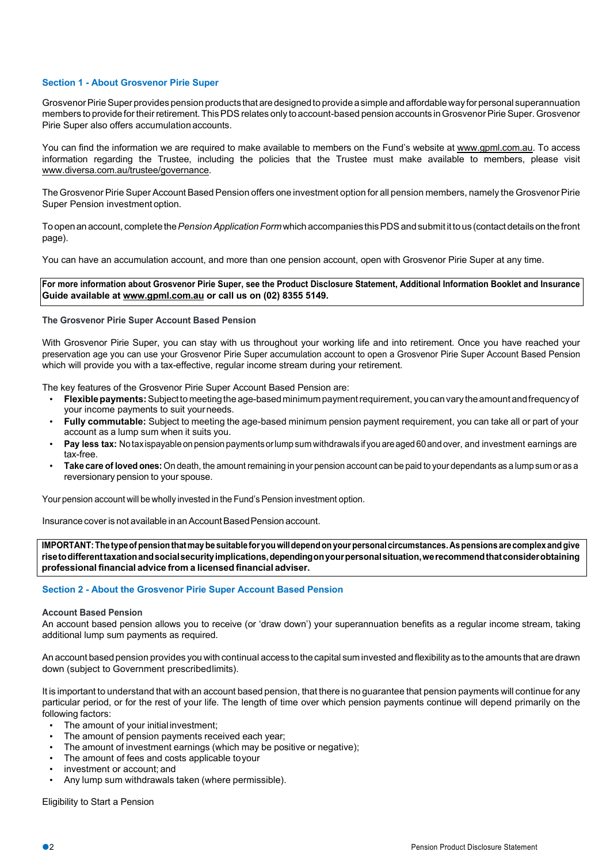# **Section 1 - About Grosvenor Pirie Super**

Grosvenor Pirie Super provides pension products that are designed to provide a simple and affordable way for personal superannuation members to provide for their retirement. This PDS relates only to account-based pension accounts in Grosvenor Pirie Super. Grosvenor Pirie Super also offers accumulation accounts.

You can find the information we are required to make available to members on the Fund's website at www.gpml.com.au. To access information regarding the Trustee, including the policies that the Trustee must make available to members, please visit www.diversa.com.au/trustee/governance.

The Grosvenor Pirie Super Account Based Pension offers one investment option for all pension members, namely the Grosvenor Pirie Super Pension investment option.

Toopenan account, completethe*PensionApplicationForm*which accompanies thisPDSandsubmit itto us (contact detailson thefront page).

You can have an accumulation account, and more than one pension account, open with Grosvenor Pirie Super at any time.

**For more information about Grosvenor Pirie Super, see the Product Disclosure Statement, Additional Information Booklet and Insurance Guide available at www.gpml.com.au or call us on (02) 8355 5149.**

#### **The Grosvenor Pirie Super Account Based Pension**

With Grosvenor Pirie Super, you can stay with us throughout your working life and into retirement. Once you have reached your preservation age you can use your Grosvenor Pirie Super accumulation account to open a Grosvenor Pirie Super Account Based Pension which will provide you with a tax-effective, regular income stream during your retirement.

The key features of the Grosvenor Pirie Super Account Based Pension are:

- **Flexible payments:** Subject to meeting the age-based minimum payment requirement, you can vary the amount and frequency of your income payments to suit yourneeds.
- **Fully commutable:** Subject to meeting the age-based minimum pension payment requirement, you can take all or part of your account as a lump sum when it suits you.
- **Pay less tax:** Notaxispayable on pension paymentsorlumpsum withdrawals ifyou areaged 60and over, and investment earnings are tax-free.
- **Take care of loved ones:** On death, the amount remaining in your pension account can be paid to your dependants as a lump sum or as a reversionary pension to your spouse.

Your pension account will be wholly invested in the Fund's Pension investment option.

Insurance cover is not available in an Account Based Pension account.

**IMPORTANT:The typeofpensionthatmaybe suitable foryouwilldependonyour personalcircumstances.Aspensions arecomplexandgive risetodifferenttaxationandsocialsecurityimplications,dependingonyourpersonalsituation,werecommendthatconsiderobtaining professional financial advice from a licensed financial adviser.**

#### **Section 2 - About the Grosvenor Pirie Super Account Based Pension**

#### **Account Based Pension**

An account based pension allows you to receive (or 'draw down') your superannuation benefits as a regular income stream, taking additional lump sum payments as required.

An account based pension provides you with continual access to the capital suminvested and flexibility as to the amounts that are drawn down (subject to Government prescribedlimits).

It is important to understand that with an account based pension, that there is no guarantee that pension payments will continue for any particular period, or for the rest of your life. The length of time over which pension payments continue will depend primarily on the following factors:

- The amount of your initial investment:
- The amount of pension payments received each year;
- The amount of investment earnings (which may be positive or negative);
- The amount of fees and costs applicable to your
- investment or account; and
- Any lump sum withdrawals taken (where permissible).

Eligibility to Start a Pension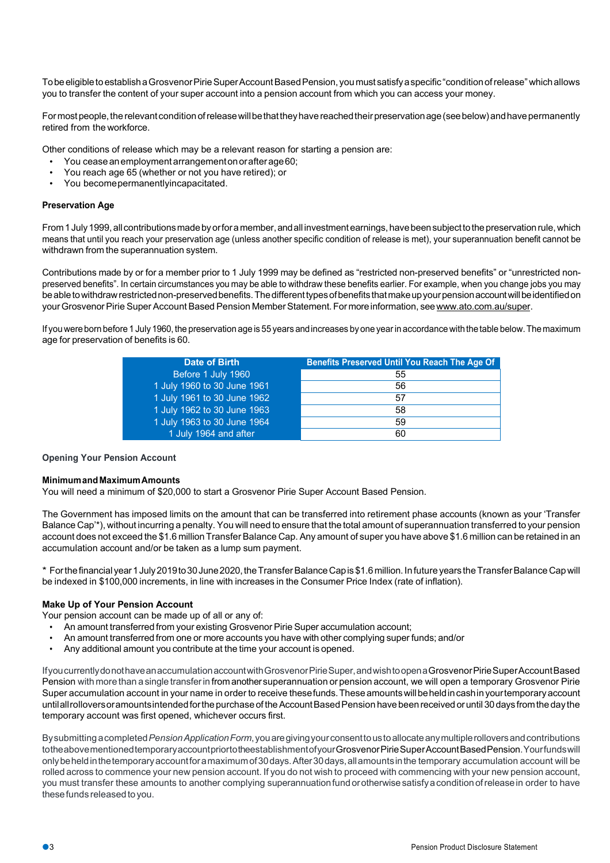To be eligible to establish a Grosvenor Pirie Super Account Based Pension, you must satisfy a specific "condition of release" which allows you to transfer the content of your super account into a pension account from which you can access your money.

For most people, the relevant condition of release will be that they have reached their preservation age (see below) and have permanently retired from the workforce.

Other conditions of release which may be a relevant reason for starting a pension are:

- You ceaseanemploymentarrangementonorafterage60;
- You reach age 65 (whether or not you have retired); or
- You becomepermanentlyincapacitated.

# **Preservation Age**

From 1 July 1999, all contributions made by or for a member, and all investment earnings, have been subject to the preservation rule, which means that until you reach your preservation age (unless another specific condition of release is met), your superannuation benefit cannot be withdrawn from the superannuation system.

Contributions made by or for a member prior to 1 July 1999 may be defined as "restricted non-preserved benefits" or "unrestricted nonpreserved benefits". In certain circumstances you may be able to withdraw these benefits earlier. For example, when you change jobs you may be able to withdraw restricted non-preserved benefits. The different types of benefits that make up your pension account will be identified on your Grosvenor Pirie Super Account Based Pension Member Statement. For more information, see www.ato.com.au/super.

If you were born before 1 July 1960, the preservation age is 55 years and increases by one year in accordance with the table below. The maximum age for preservation of benefits is 60.

| Before 1 July 1960<br>55          |
|-----------------------------------|
|                                   |
| 1 July 1960 to 30 June 1961<br>56 |
| 1 July 1961 to 30 June 1962<br>57 |
| 1 July 1962 to 30 June 1963<br>58 |
| 1 July 1963 to 30 June 1964<br>59 |
| 1 July 1964 and after<br>60       |

#### **Opening Your Pension Account**

#### **MinimumandMaximumAmounts**

You will need a minimum of \$20,000 to start a Grosvenor Pirie Super Account Based Pension.

The Government has imposed limits on the amount that can be transferred into retirement phase accounts (known as your 'Transfer Balance Cap'\*), without incurring a penalty. You will need to ensure that the total amount of superannuation transferred to your pension account does not exceed the \$1.6 million TransferBalance Cap. Any amount of super you have above \$1.6 million can be retained in an accumulation account and/or be taken as a lump sum payment.

\* Forthefinancial year1July2019to30June2020,theTransferBalanceCapis\$1.6million.InfutureyearstheTransferBalance Capwill be indexed in \$100,000 increments, in line with increases in the Consumer Price Index (rate of inflation).

#### **Make Up of Your Pension Account**

Your pension account can be made up of all or any of:

- An amount transferred from your existing Grosvenor Pirie Super accumulation account;
- An amount transferred from one or more accounts you have with other complying super funds; and/or
- Any additional amount you contribute at the time your account is opened.

IfyoucurrentlydonothaveanaccumulationaccountwithGrosvenorPirieSuper,andwishtoopenaGrosvenorPirieSuperAccountBased Pension with more than asingle transferin from anothersuperannuation or pension account, we will open a temporary Grosvenor Pirie Super accumulation account in your name in order to receive these funds. These amounts will be held in cashin your temporary account untilallrolloversoramountsintended for the purchase of the Account Based Pension have been received or until 30 days from the day the temporary account was first opened, whichever occurs first.

Bysubmittingacompleted*PensionApplicationForm*,youaregivingyourconsenttoustoallocateanymultiplerolloversandcontributions totheabovementionedtemporaryaccountpriortotheestablishmentofyourGrosvenorPirieSuperAccountBasedPension.Yourfundswill only be held in the temporary account for a maximum of 30 days. After 30 days, all amounts in the temporary accumulation account will be rolled across to commence your new pension account. If you do not wish to proceed with commencing with your new pension account, you must transfer these amounts to another complying superannuation fund or otherwise satisfy a condition of release in order to have these funds released to you.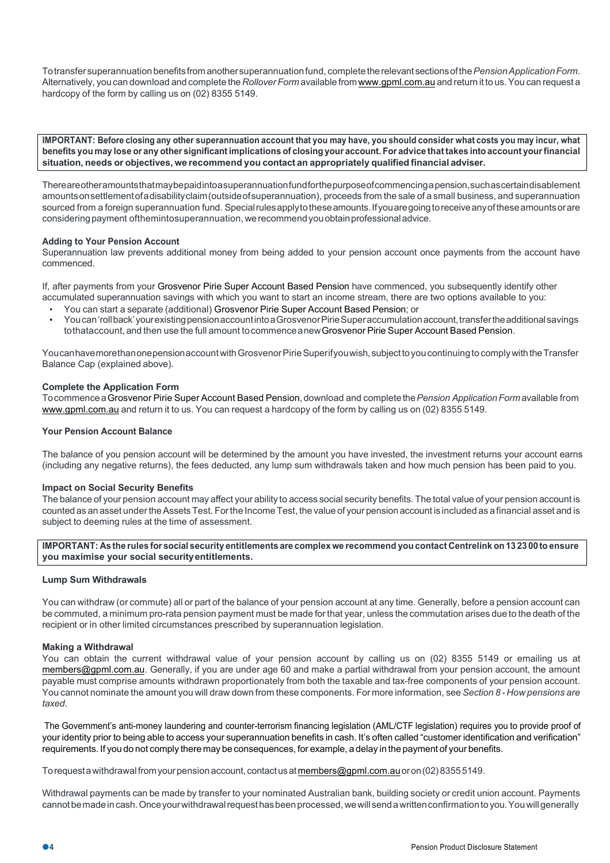Totransfersuperannuation benefitsfromanothersuperannuationfund, completetherelevant sectionsofthe*PensionApplicationForm*. Alternatively, you can download and complete the*Rollover Form* available from www.gpml.com.au and return it to us.You can request a hardcopy of the form by calling us on (02) 8355 5149.

IMPORTANT: Before closing any other superannuation account that you may have, you should consider what costs you may incur, what benefits you may lose or any other significant implications of closing your account. For advice that takes into account your financial **situation, needs or objectives, we recommend you contact an appropriately qualified financial adviser.**

Thereareotheramountsthatmaybepaidintoasuperannuationfundforthepurposeofcommencingapension,suchascertaindisablement amountsonsettlementofadisabilityclaim(outsideofsuperannuation), proceeds from the sale of a small business, and superannuation sourced from a foreign superannuation fund. Special rules apply to these amounts. If you are going to receive any of these amounts or are consideringpayment ofthemintosuperannuation, werecommendyouobtainprofessionaladvice.

# **Adding to Your Pension Account**

Superannuation law prevents additional money from being added to your pension account once payments from the account have commenced.

If, after payments from your Grosvenor Pirie Super Account Based Pension have commenced, you subsequently identify other accumulated superannuation savings with which you want to start an income stream, there are two options available to you:

- You can start a separate (additional) Grosvenor Pirie Super Account Based Pension; or
- Youcan'rollback'yourexistingpensionaccountintoaGrosvenorPirieSuperaccumulationaccount,transfertheadditionalsavings tothataccount, and then use the full amount to commence anew Grosvenor Pirie Super Account Based Pension.

Youcan have more than one pensionaccount with Grosvenor Pirie Superifyouwish, subject to you continuing to comply with the Transfer Balance Cap (explained above).

# **Complete the Application Form**

TocommenceaGrosvenor Pirie Super Account Based Pension,download and completethe*Pension ApplicationForm*available from www.gpml.com.au and return it to us. You can request a hardcopy of the form by calling us on (02) 8355 5149.

#### **Your Pension Account Balance**

The balance of you pension account will be determined by the amount you have invested, the investment returns your account earns (including any negative returns), the fees deducted, any lump sum withdrawals taken and how much pension has been paid to you.

#### **Impact on Social Security Benefits**

The balance of your pension account may affect your ability to access social security benefits. The total value of your pension account is counted as an asset under the Assets Test. For the Income Test, the value of your pension account is included as a financial asset and is subject to deeming rules at the time of assessment.

IMPORTANT: As the rules for social security entitlements are complex we recommend you contact Centrelink on 132300 to ensure **you maximise your social securityentitlements.**

#### **Lump Sum Withdrawals**

You can withdraw (or commute) all or part of the balance of your pension account at any time. Generally, before a pension account can be commuted, a minimum pro-rata pension payment must be made forthat year, unless the commutation arises due to the death of the recipient or in other limited circumstances prescribed by superannuation legislation.

#### **Making a Withdrawal**

You can obtain the current withdrawal value of your pension account by calling us on (02) 8355 5149 or emailing us at members@gpml.com.au. Generally, if you are under age 60 and make a partial withdrawal from your pension account, the amount payable must comprise amounts withdrawn proportionately from both the taxable and tax-free components of your pension account. You cannot nominate the amount you will draw down from these components. For more information, see *Section 8 - How pensions are taxed*.

The Government's anti-money laundering and counter-terrorism financing legislation (AML/CTF legislation) requires you to provide proof of your identity prior to being able to access your superannuation benefits in cash. It's often called "customer identification and verification" requirements. If you do not comply there may be consequences, for example, a delay in the payment of your benefits.

To request a withdrawal from your pension account, contact us at members@gpml.com.au or on (02) 83555149.

Withdrawal payments can be made by transfer to your nominated Australian bank, building society or credit union account. Payments cannot be made in cash. Once your withdrawal request has been processed, we will send a written confirmation to you. You will generally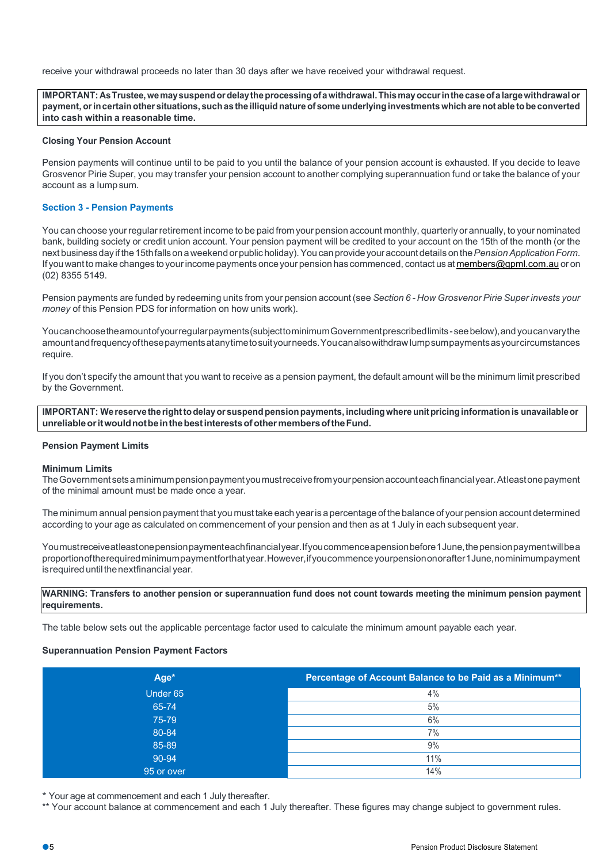receive your withdrawal proceeds no later than 30 days after we have received your withdrawal request.

**IMPORTANT: AsTrustee,wemaysuspendordelaytheprocessingofawithdrawal.Thismayoccurinthecaseofa largewithdrawalor**  payment, or in certain other situations, such as the illiquid nature of some underlying investments which are not able to be converted **into cash within a reasonable time.**

#### **Closing Your Pension Account**

Pension payments will continue until to be paid to you until the balance of your pension account is exhausted. If you decide to leave Grosvenor Pirie Super, you may transfer your pension account to another complying superannuation fund or take the balance of your account as a lump sum.

# **Section 3 - Pension Payments**

You can choose yourregularretirement income to be paid from your pension account monthly, quarterly or annually, to your nominated bank, building society or credit union account. Your pension payment will be credited to your account on the 15th of the month (or the next businessday if the15thfallsona weekend orpublicholiday).You can provideyour account details onthe*PensionApplicationForm*. If you want to make changes to your income payments once your pension has commenced, contact us at members@gpml.com.au or on (02) 8355 5149.

Pension payments are funded by redeeming units from your pension account (see *Section 6 - How Grosvenor Pirie Super invests your money* of this Pension PDS for information on how units work).

Youcanchoosetheamountofyourregularpayments(subjecttominimumGovernmentprescribedlimits-seebelow),andyoucanvarythe amountandfrequencyofthesepaymentsatanytimetosuityourneeds.Youcanalsowithdrawlumpsumpaymentsasyourcircumstances require.

If you don't specify the amount that you want to receive as a pension payment, the default amount will be the minimum limit prescribed by the Government.

**IMPORTANT: Wereservetherighttodelayor suspendpensionpayments, includingwhereunitpricinginformationis unavailableor unreliableoritwouldnotbeinthebestinterestsofother membersoftheFund.**

#### **Pension Payment Limits**

#### **Minimum Limits**

TheGovernmentsetsaminimumpensionpaymentyoumustreceivefromyourpensionaccounteachfinancialyear.Atleastonepayment of the minimal amount must be made once a year.

The minimum annual pension payment that you must take each yearis a percentage of the balance of your pension account determined according to your age as calculated on commencement of your pension and then as at 1 July in each subsequent year.

Youmustreceiveatleastonepensionpaymenteachfinancialyear.Ifyoucommenceapensionbefore1June,thepensionpaymentwillbea proportionoftherequiredminimumpaymentforthatyear.However,ifyoucommenceyourpensiononorafter1June,nominimumpayment is required until the nextfinancial year.

#### **WARNING: Transfers to another pension or superannuation fund does not count towards meeting the minimum pension payment requirements.**

The table below sets out the applicable percentage factor used to calculate the minimum amount payable each year.

#### **Superannuation Pension Payment Factors**

| Age*       | Percentage of Account Balance to be Paid as a Minimum** |
|------------|---------------------------------------------------------|
| Under 65   | 4%                                                      |
| 65-74      | 5%                                                      |
| 75-79      | 6%                                                      |
| 80-84      | 7%                                                      |
| 85-89      | 9%                                                      |
| 90-94      | 11%                                                     |
| 95 or over | 14%                                                     |

\* Your age at commencement and each 1 July thereafter.

\*\* Your account balance at commencement and each 1 July thereafter. These figures may change subject to government rules.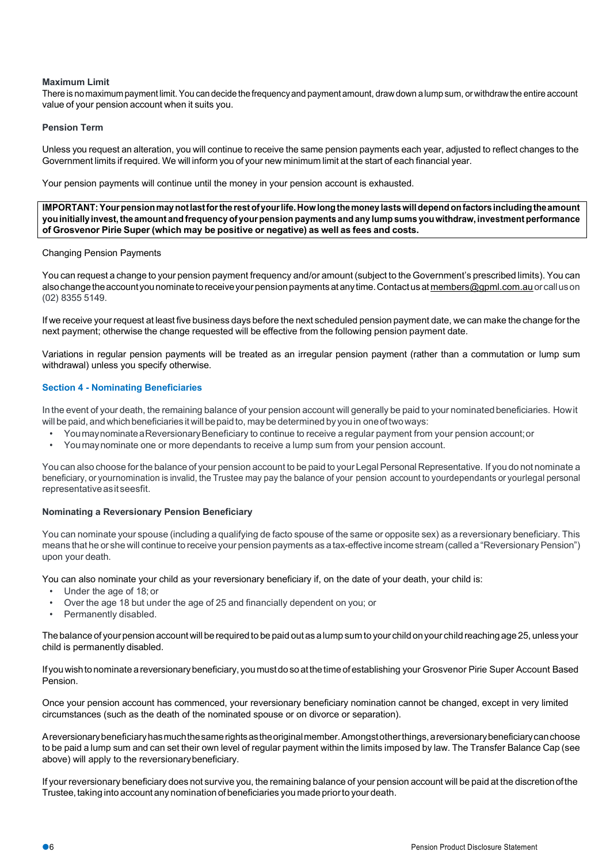# **Maximum Limit**

There is no maximum payment limit.You can decide the frequencyand payment amount, drawdown alump sum, orwithdrawthe entire account value of your pension account when it suits you.

## **Pension Term**

Unless you request an alteration, you will continue to receive the same pension payments each year, adjusted to reflect changes to the Government limits if required. We will inform you of your new minimum limit at the start of each financial year.

Your pension payments will continue until the money in your pension account is exhausted.

**IMPORTANT:Yourpensionmaynotlastfortherestofyourlife.Howlongthemoneylastswilldepend onfactorsincludingtheamount youinitially invest,the amount andfrequency of yourpension payments andany lump sums youwithdraw, investment performance of Grosvenor Pirie Super (which may be positive or negative) as well as fees and costs.**

#### Changing Pension Payments

You can request a change to your pension payment frequency and/or amount (subject to the Government's prescribed limits). You can also change the account you nominate to receive your pension payments at any time. Contact us at members@gpml.com.au or call us on (02) 8355 5149.

If we receive yourrequest at least five business days before the next scheduled pension payment date, we can make the change forthe next payment; otherwise the change requested will be effective from the following pension payment date.

Variations in regular pension payments will be treated as an irregular pension payment (rather than a commutation or lump sum withdrawal) unless you specify otherwise.

# **Section 4 - Nominating Beneficiaries**

In the event of your death, the remaining balance of your pension account will generally be paid to your nominated beneficiaries. How it will be paid, and which beneficiaries it will be paid to, may be determined by you in one of two ways:

- YoumaynominateaReversionaryBeneficiary to continue to receive a regular payment from your pension account;or
- Youmaynominate one or more dependants to receive a lump sum from your pension account.

You can also choose forthe balance of your pension account to be paid to your Legal Personal Representative. If you do not nominate a beneficiary, or yournomination is invalid, the Trustee may pay the balance of your pension account to yourdependants or yourlegal personal representativeasitseesfit.

#### **Nominating a Reversionary Pension Beneficiary**

You can nominate your spouse (including a qualifying de facto spouse of the same or opposite sex) as a reversionary beneficiary. This means that he or she will continue to receive your pension payments as atax-effective income stream (called a "ReversionaryPension") upon your death.

You can also nominate your child as your reversionary beneficiary if, on the date of your death, your child is:

- Under the age of 18; or
- Over the age 18 but under the age of 25 and financially dependent on you; or
- Permanently disabled.

The balance of your pension account will be required to be paid out as a lump sum to your child on your child reaching age 25, unless your child is permanently disabled.

If youwishtonominate areversionarybeneficiary, youmustdoso atthetime ofestablishing your Grosvenor Pirie Super Account Based Pension.

Once your pension account has commenced, your reversionary beneficiary nomination cannot be changed, except in very limited circumstances (such as the death of the nominated spouse or on divorce or separation).

Areversionarybeneficiaryhasmuchthesamerightsastheoriginalmember.Amongstotherthings,areversionarybeneficiarycanchoose to be paid a lump sum and can set their own level of regular payment within the limits imposed by law. The Transfer Balance Cap (see above) will apply to the reversionarybeneficiary.

If your reversionary beneficiary does not survive you, the remaining balance of your pension account will be paid at the discretionofthe Trustee, taking into account any nomination of beneficiaries you made prior to your death.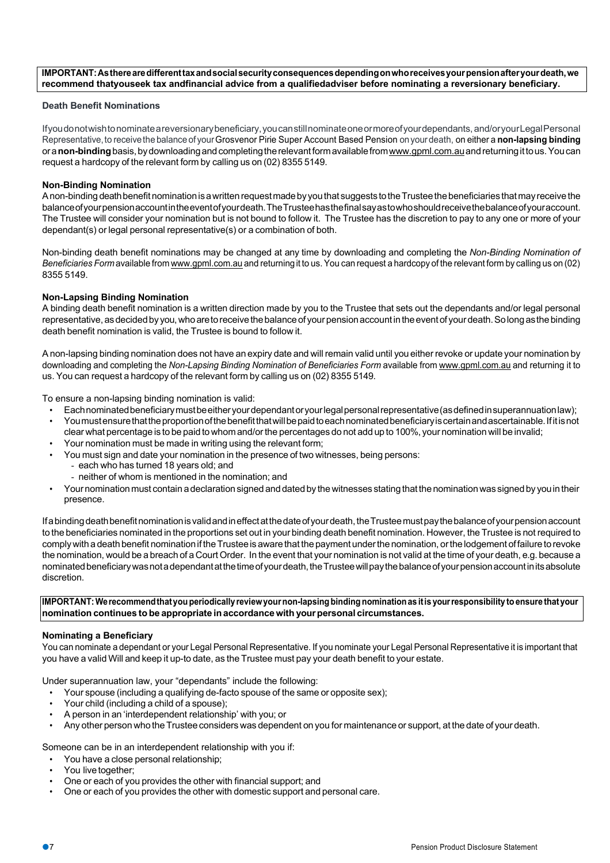**IMPORTANT:Astherearedifferenttaxandsocialsecurityconsequencesdependingonwhoreceivesyourpensionafteryourdeath,we recommend thatyouseek tax andfinancial advice from a qualifiedadviser before nominating a reversionary beneficiary.**

### **Death Benefit Nominations**

Ifyoudonotwishtonominateareversionarybeneficiary,youcanstillnominateoneormoreofyourdependants, and/oryourLegalPersonal Representative, to receive the balance of your Grosvenor Pirie Super Account Based Pension on your death, on either a non-lapsing binding ora**non-binding**basis,bydownloadingandcompletingtherelevantformavailablefromwww.gpml.com.auandreturningittous.Youcan request a hardcopy of the relevant form by calling us on (02) 8355 5149.

# **Non-Binding Nomination**

Anon-binding death benefit nomination is a written request made by you that suggests to the Trustee the beneficiaries that may receive the balanceofyourpensionaccountintheeventofyourdeath.TheTrusteehasthefinalsayastowhoshouldreceivethebalanceofyouraccount. The Trustee will consider your nomination but is not bound to follow it. The Trustee has the discretion to pay to any one or more of your dependant(s) or legal personal representative(s) or a combination of both.

Non-binding death benefit nominations may be changed at any time by downloading and completing the *Non-Binding Nomination of Beneficiaries Form* available from www.gpml.com.au and returningit to us.You can request a hardcopy of the relevant form by calling us on (02) 8355 5149.

# **Non-Lapsing Binding Nomination**

A binding death benefit nomination is a written direction made by you to the Trustee that sets out the dependants and/or legal personal representative, as decided by you, who are to receive the balance of your pension account in the event of your death. So long as the binding death benefit nomination is valid, the Trustee is bound to follow it.

A non-lapsing binding nomination does not have an expiry date and will remain valid until you either revoke or update your nomination by downloading and completing the *Non-Lapsing Binding Nomination of Beneficiaries Form* available from www.gpml.com.au and returning it to us. You can request a hardcopy of the relevant form by calling us on (02) 8355 5149.

To ensure a non-lapsing binding nomination is valid:

- Eachnominatedbeneficiarymustbeeitheryourdependantoryourlegalpersonalrepresentative(asdefinedinsuperannuationlaw);
- You mustensure that the proportion of the benefit that will be paid to each nominated beneficiary is certain and ascertainable. If it is not clear what percentage is to be paid to whomand/orthe percentages do not add up to 100%, your nomination will be invalid;
- Your nomination must be made in writing using the relevant form;
- You must sign and date your nomination in the presence of two witnesses, being persons:
	- each who has turned 18 years old; and
	- neither of whom is mentioned in the nomination; and
- Your nomination must contain a declaration signed and dated by the witnesses stating that the nomination was signed by you in their presence.

Ifabindingdeathbenefitnominationisvalidandineffectatthedateofyourdeath,theTrusteemustpaythebalanceofyourpensionaccount to the beneficiaries nominated in the proportions set out in your binding death benefit nomination. However, the Trustee is not required to comply with a death benefit nomination if the Trustee is aware that the payment under the nomination, or the lodgement of failure to revoke the nomination, would be a breach of a Court Order. In the event that your nomination is not valid at the time of your death, e.g. because a nominated beneficiary was not a dependant at the time of your death, the Trustee will pay the balance of your pension account in its absolute discretion.

**IMPORTANT: Werecommendthatyouperiodicallyreviewyournon-lapsing binding nominationas itis yourresponsibility toensure thatyour nomination continues to be appropriate inaccordancewith yourpersonal circumstances.**

#### **Nominating a Beneficiary**

You can nominate a dependant or your Legal Personal Representative. If you nominate your Legal Personal Representative it is important that you have a valid Will and keep it up-to date, as the Trustee must pay your death benefit to your estate.

Under superannuation law, your "dependants" include the following:

- Your spouse (including a qualifying de-facto spouse of the same or opposite sex);
- Your child (including a child of a spouse);
- A person in an 'interdependent relationship' with you; or
- Any other person who theTrustee considers was dependent on you for maintenance or support, at the date of your death.

Someone can be in an interdependent relationship with you if:

- You have a close personal relationship;
- You live together:
- One or each of you provides the other with financial support; and
- One or each of you provides the other with domestic support and personal care.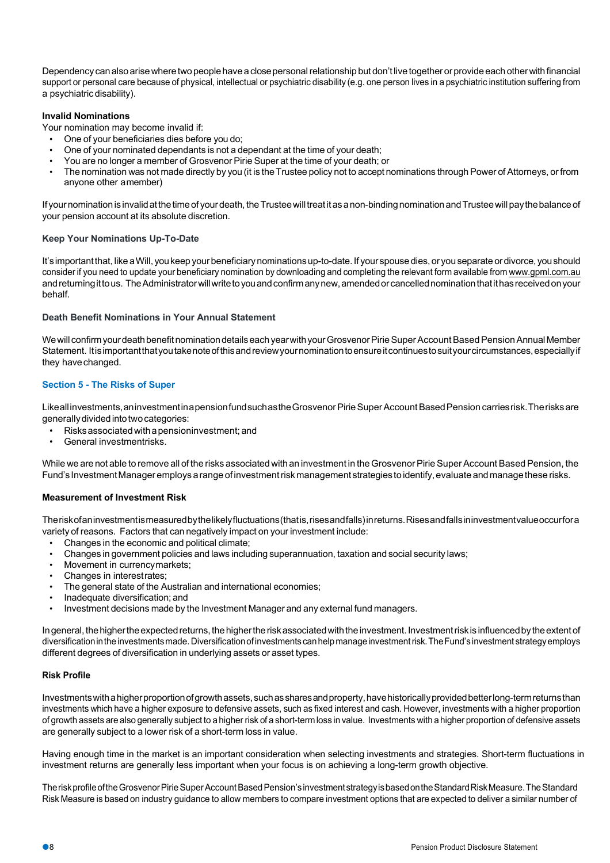Dependency can also arise where two people have a close personal relationship but don't live together or provide each other with financial support or personal care because of physical, intellectual or psychiatric disability (e.g. one person lives in a psychiatric institution suffering from a psychiatric disability).

## **Invalid Nominations**

Your nomination may become invalid if:

- One of your beneficiaries dies before you do;
- One of your nominated dependants is not a dependant at the time of your death;
- You are no longer a member of Grosvenor Pirie Super at the time of your death; or
- The nomination was not made directly by you (it is the Trustee policy not to accept nominations through Power of Attorneys, or from anyone other amember)

If your nomination is invalid at the time of your death, the Trustee will treat it as a non-binding nomination and Trustee will pay the balance of your pension account at its absolute discretion.

# **Keep Your Nominations Up-To-Date**

It's important that, like a Will, you keep your beneficiary nominations up-to-date. If your spouse dies, or you separate or divorce, you should consider if you need to update your beneficiary nomination by downloading and completing the relevant form available from www.gpml.com.au and returning it to us. The Administrator will write to you and confirm any new, amended or cancelled nomination that it has received on your behalf.

## **Death Benefit Nominations in Your Annual Statement**

We will confirm your death benefit nomination details each year with your Grosvenor Pirie Super Account Based Pension Annual Member Statement. Itisimportantthatyoutakenoteofthisandreviewyournominationtoensureitcontinuestosuityourcircumstances,especiallyif they havechanged.

# **Section 5 - The Risks of Super**

Likeallinvestments, aninvestmentinapensionfundsuchasthe Grosvenor Pirie Super Account Based Pension carriesrisk. The risks are generally divided into two categories:

- Risksassociatedwithapensioninvestment;and
- General investmentrisks.

While we are not able to remove all of the risks associated with an investment in the Grosvenor Pirie Super Account Based Pension, the Fund's Investment Manager employs a range of investment risk management strategies to identify, evaluate and manage these risks.

#### **Measurement of Investment Risk**

Theriskofaninvestmentismeasuredbythelikelyfluctuations(thatis,risesandfalls)inreturns.Risesandfallsininvestmentvalueoccurfora variety of reasons. Factors that can negatively impact on your investment include:

- Changes in the economic and political climate;
- Changes in government policies and laws including superannuation, taxation and social security laws;
- Movement in currencymarkets;
- Changes in interestrates;
- The general state of the Australian and international economies;
- Inadequate diversification; and
- Investment decisions made by the Investment Manager and any external fund managers.

Ingeneral, the higher the expected returns, the higher the risk associated with the investment. Investment risk is influenced by the extent of diversificationintheinvestmentsmade. Diversificationofinvestments canhelpmanageinvestmentrisk.TheFund'sinvestment strategyemploys different degrees of diversification in underlying assets or asset types.

#### **Risk Profile**

Investments with a higher proportion of growth assets, such as shares and property, have historically provided betterlong-term returns than investments which have a higher exposure to defensive assets, such as fixed interest and cash. However, investments with a higher proportion of growth assets are also generally subject to a higher risk of a short-term loss in value. Investments with a higher proportion of defensive assets are generally subject to a lower risk of a short-term loss in value.

Having enough time in the market is an important consideration when selecting investments and strategies. Short-term fluctuations in investment returns are generally less important when your focus is on achieving a long-term growth objective.

The risk profile of the Grosvenor Pirie Super Account Based Pension's investment strategy is based on the Standard Risk Measure. The Standard Risk Measure is based on industry guidance to allow members to compare investment options that are expected to deliver a similar number of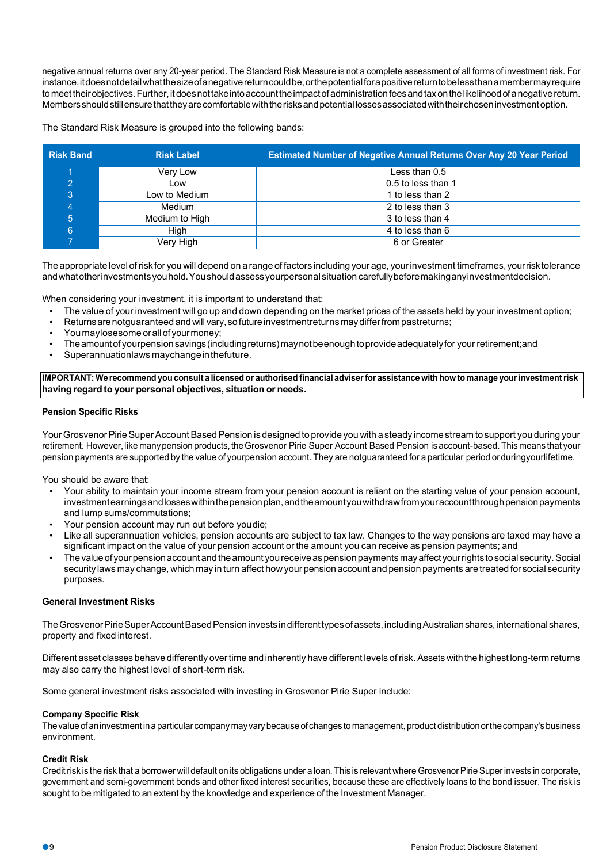negative annual returns over any 20-year period. The Standard Risk Measure is not a complete assessment of all forms of investment risk. For instance,itdoesnotdetailwhatthesizeofanegativereturncouldbe,orthepotentialforapositivereturntobelessthanamembermayrequire tomeet theirobjectives. Further, it does not take into account the impact of administration fees and tax on the likelihood of a negative return. Membersshouldstillensurethattheyarecomfortablewiththerisksandpotentiallossesassociatedwiththeirchoseninvestmentoption.

The Standard Risk Measure is grouped into the following bands:

| <b>Risk Band</b> | <b>Risk Label</b> | <b>Estimated Number of Negative Annual Returns Over Any 20 Year Period</b> |
|------------------|-------------------|----------------------------------------------------------------------------|
|                  | Very Low          | Less than 0.5                                                              |
|                  | Low               | 0.5 to less than 1                                                         |
| 3                | Low to Medium     | 1 to less than 2                                                           |
|                  | Medium            | 2 to less than 3                                                           |
|                  | Medium to High    | 3 to less than 4                                                           |
| 6                | Hiah              | 4 to less than 6                                                           |
|                  | Very High         | 6 or Greater                                                               |

The appropriate level of risk for you will depend on a range of factors including your age, your investment timeframes, your risk tolerance andwhatotherinvestmentsyouhold.Youshouldassessyourpersonalsituation carefullybeforemakinganyinvestmentdecision.

When considering your investment, it is important to understand that:

- The value of your investment will go up and down depending on the market prices of the assets held by your investment option;
- Returnsarenotguaranteed andwill vary, sofutureinvestmentreturns maydifferfrompastreturns;
- Youmaylosesome orallof yourmoney;
- Theamountof yourpensionsavings(includingreturns)maynotbeenoughtoprovideadequatelyfor your retirement;and
- Superannuationlaws maychangeinthefuture.

IMPORTANT: We recommend you consult a licensed or authorised financial adviser for assistance with how to manage your investment risk **having regard to your personal objectives, situation or needs.**

#### **Pension Specific Risks**

Your Grosvenor Pirie Super Account Based Pension is designed to provide you with a steady income stream to support you during your retirement. However, like many pension products, the Grosvenor Pirie Super Account Based Pension is account-based. This means that your pension payments are supported by the value of yourpension account. They are notguaranteed for a particular period orduringyourlifetime.

You should be aware that:

- Your ability to maintain your income stream from your pension account is reliant on the starting value of your pension account, investmentearnings and losses within the pension plan, and the amountyou withdrawfrom your account through pension payments and lump sums/commutations;
- Your pension account may run out before youdie;
- Like all superannuation vehicles, pension accounts are subject to tax law. Changes to the way pensions are taxed may have a significant impact on the value of your pension account or the amount you can receive as pension payments; and
- The value of your pension account and the amount you receive as pension payments may affect your rights to social security. Social security laws may change, which may in turn affect how your pension account and pension payments are treated for social security purposes.

## **General Investment Risks**

The Grosvenor Pirie Super Account Based Pension invests in different types of assets, including Australian shares, international shares, property and fixed interest.

Different asset classes behave differently overtime and inherently have different levels of risk. Assets with the highest long-term returns may also carry the highest level of short-term risk.

Some general investment risks associated with investing in Grosvenor Pirie Super include:

#### **Company Specific Risk**

Thevalue ofaninvestmentinaparticular companymayvarybecause of changes to management, product distributionorthecompany's business environment.

#### **Credit Risk**

Credit risk is the risk that a borrower will default on its obligations under a loan. This is relevant where Grosvenor Pirie Super invests in corporate, government and semi-government bonds and other fixed interest securities, because these are effectively loans to the bond issuer. The risk is sought to be mitigated to an extent by the knowledge and experience of the Investment Manager.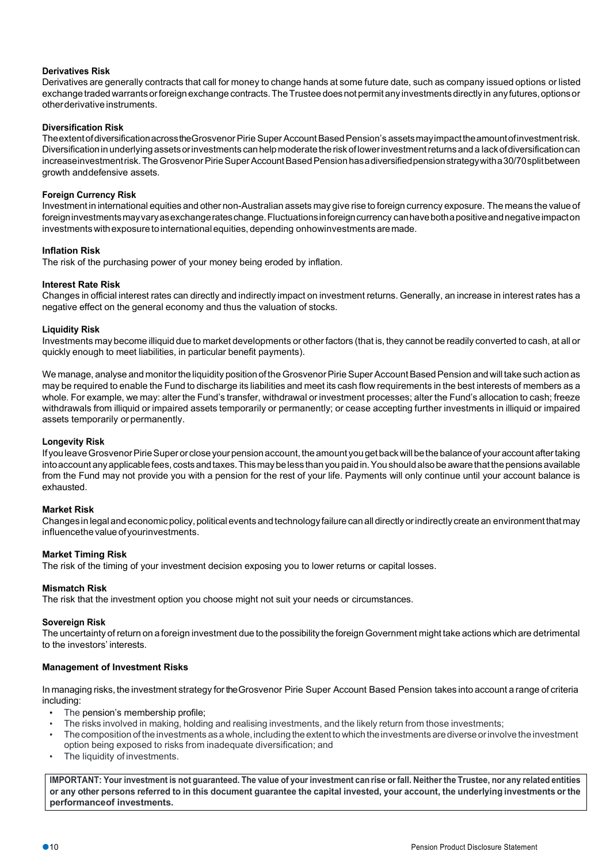# **Derivatives Risk**

Derivatives are generally contracts that call for money to change hands at some future date, such as company issued options or listed exchange traded warrants or foreign exchange contracts. The Trustee does not permit any investments directly in any futures, options or other derivative instruments.

# **Diversification Risk**

The extent of diversification across the Grosvenor Pirie Super Account Based Pension's assets may impact the amount of investment risk. Diversificationinunderlying assetsorinvestments canhelpmoderatetheriskoflowerinvestmentreturnsanda lackofdiversificationcan increaseinvestmentrisk. The Grosvenor Pirie Super Account Based Pension has a diversified pension strategy with a 30/70 split between growth anddefensive assets.

# **Foreign Currency Risk**

Investment in international equities and other non-Australian assets may give rise to foreign currency exposure. The means the valueof foreigninvestmentsmayvaryasexchangerateschange.Fluctuationsinforeigncurrency canhavebothapositiveandnegativeimpacton investments withexposuretointernationalequities, depending onhowinvestmentsaremade.

# **Inflation Risk**

The risk of the purchasing power of your money being eroded by inflation.

# **Interest Rate Risk**

Changes in official interest rates can directly and indirectly impact on investment returns. Generally, an increase in interest rates has a negative effect on the general economy and thus the valuation of stocks.

# **Liquidity Risk**

Investments may become illiquid due to market developments or otherfactors (that is, they cannot be readily converted to cash, at all or quickly enough to meet liabilities, in particular benefit payments).

We manage, analyse and monitor the liquidity position of the Grosvenor Pirie Super Account Based Pension and will take such action as may be required to enable the Fund to discharge its liabilities and meet its cash flow requirements in the best interests of members as a whole. For example, we may: alter the Fund's transfer, withdrawal or investment processes; alter the Fund's allocation to cash; freeze withdrawals from illiquid or impaired assets temporarily or permanently; or cease accepting further investments in illiquid or impaired assets temporarily or permanently.

# **Longevity Risk**

If you leave Grosvenor Pirie Super or close your pension account, the amount you get back will be the balance of your account after taking into account any applicable fees, costs and taxes. This may be less than you paid in. You should also be aware that the pensions available from the Fund may not provide you with a pension for the rest of your life. Payments will only continue until your account balance is exhausted.

# **Market Risk**

Changes in legaland economicpolicy,politicalevents and technologyfailure can alldirectly orindirectly create an environmentthatmay influencethe value of yourinvestments.

# **Market Timing Risk**

The risk of the timing of your investment decision exposing you to lower returns or capital losses.

# **Mismatch Risk**

The risk that the investment option you choose might not suit your needs or circumstances.

# **Sovereign Risk**

The uncertainty of return on a foreign investment due to the possibility the foreign Government might take actions which are detrimental to the investors' interests.

# **Management of Investment Risks**

In managing risks, the investment strategy fortheGrosvenor Pirie Super Account Based Pension takes into account a range of criteria including:

- The pension's membership profile;
- The risks involved in making, holding and realising investments, and the likely return from those investments;
- The composition of the investments as a whole, including the extent to which the investments are diverse or involve the investment option being exposed to risks from inadequate diversification; and
- The liquidity of investments.

IMPORTANT: Your investment is not quaranteed. The value of your investment can rise or fall. Neither the Trustee, nor any related entities or any other persons referred to in this document guarantee the capital invested, your account, the underlying investments or the **performanceof investments.**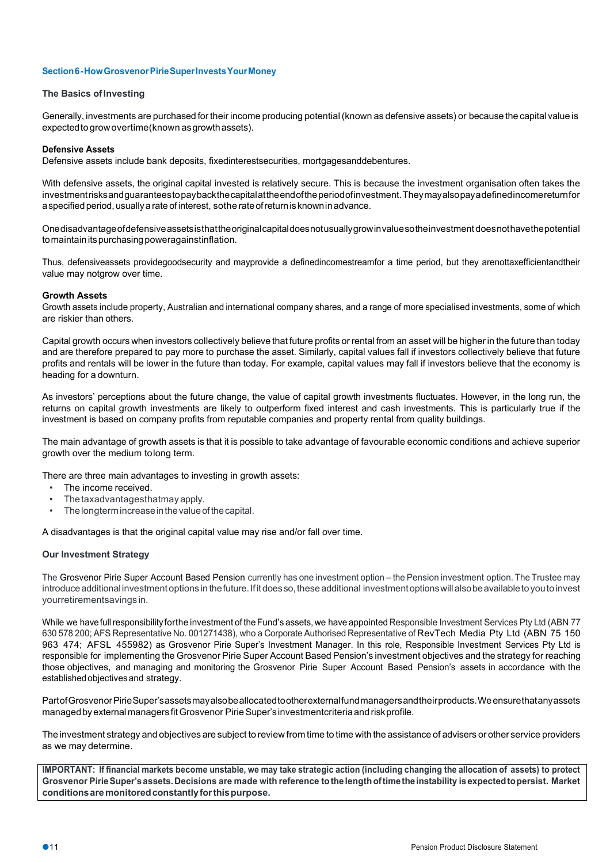## **Section6-HowGrosvenorPirieSuperInvestsYourMoney**

#### **The Basics of Investing**

Generally, investments are purchased for their income producing potential (known as defensive assets) or because the capital value is expectedtogrowovertime(known asgrowthassets).

## **Defensive Assets**

Defensive assets include bank deposits, fixedinterestsecurities, mortgagesanddebentures.

With defensive assets, the original capital invested is relatively secure. This is because the investment organisation often takes the investmentrisksandguaranteestopaybackthecapitalattheendoftheperiodofinvestment.Theymayalsopayadefinedincomereturnfor a specified period, usually a rate of interest, sothe rate of return is known in advance.

Onedisadvantageofdefensiveassetsisthattheoriginalcapitaldoesnotusuallygrowinvaluesotheinvestment doesnothavethepotential to maintain its purchasing poweragainstinflation.

Thus, defensiveassets providegoodsecurity and mayprovide a definedincomestreamfor a time period, but they arenottaxefficientandtheir value may notgrow over time.

# **Growth Assets**

Growth assets include property, Australian and international company shares, and a range of more specialised investments, some of which are riskier than others.

Capital growth occurs when investors collectively believe that future profits or rental from an asset will be higherin the future than today and are therefore prepared to pay more to purchase the asset. Similarly, capital values fall if investors collectively believe that future profits and rentals will be lower in the future than today. For example, capital values may fall if investors believe that the economy is heading for a downturn.

As investors' perceptions about the future change, the value of capital growth investments fluctuates. However, in the long run, the returns on capital growth investments are likely to outperform fixed interest and cash investments. This is particularly true if the investment is based on company profits from reputable companies and property rental from quality buildings.

The main advantage of growth assets is that it is possible to take advantage of favourable economic conditions and achieve superior growth over the medium tolong term.

There are three main advantages to investing in growth assets:

- The income received.
- Thetaxadvantagesthatmay apply.
- The longterm increase in the value of the capital.

A disadvantages is that the original capital value may rise and/or fall over time.

# **Our Investment Strategy**

The Grosvenor Pirie Super Account Based Pension currently has one investment option – the Pension investment option. The Trustee may introduce additional investment options in the future. If it does so, these additional investment options will also be available to you to invest yourretirementsavings in.

While we have full responsibility for the investment of the Fund's assets, we have appointed Responsible Investment Services Pty Ltd (ABN 77 630 578 200; AFS Representative No. 001271438), who a Corporate Authorised Representative of RevTech Media Pty Ltd (ABN 75 150 963 474; AFSL 455982) as Grosvenor Pirie Super's Investment Manager. In this role, Responsible Investment Services Pty Ltd is responsible for implementing the Grosvenor Pirie Super Account Based Pension's investment objectives and the strategy for reaching those objectives, and managing and monitoring the Grosvenor Pirie Super Account Based Pension's assets in accordance with the established objectivesand strategy.

Partof Grosvenor Pirie Super's assets may also be allocated to other external fund managers and their products. We ensure that any assets managedbyexternal managers fitGrosvenor PirieSuper'sinvestmentcriteriaand riskprofile.

The investment strategy and objectives are subject to review from time to time with the assistance of advisers or other service providers as we may determine.

IMPORTANT: If financial markets become unstable, we may take strategic action (including changing the allocation of assets) to protect **Grosvenor PirieSuper'sassets.Decisions are made with reference tothelengthoftimetheinstability isexpectedtopersist. Market conditionsaremonitoredconstantlyforthispurpose.**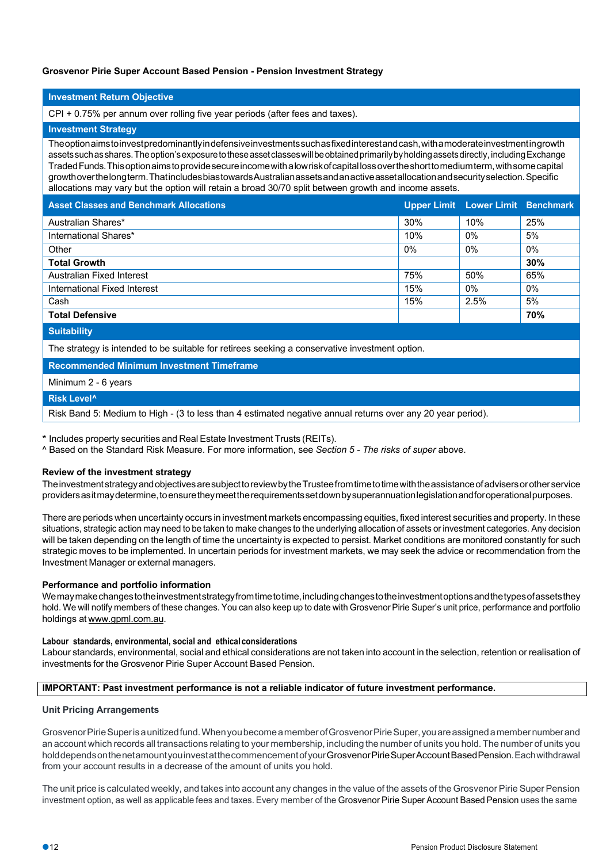## **Grosvenor Pirie Super Account Based Pension - Pension Investment Strategy**

## **Investment Return Objective**

CPI + 0.75% per annum over rolling five year periods (after fees and taxes).

#### **Investment Strategy**

Theoptionaimstoinvestpredominantlyindefensiveinvestmentssuchasfixedinterestandcash,withamoderateinvestmentingrowth assets such as shares. The option's exposure to these asset classes will be obtained primarily by holding assets directly, including Exchange TradedFunds.Thisoptionaimstoprovidesecureincomewithalowriskofcapitallossovertheshorttomediumterm,withsomecapital growthoverthelongterm.ThatincludesbiastowardsAustralianassetsandanactiveassetallocationandsecurityselection.Specific allocations may vary but the option will retain a broad 30/70 split between growth and income assets.

|  |  | <b>Asset Classes and Benchmark Allocations</b> |
|--|--|------------------------------------------------|
|  |  |                                                |

| <b>Asset Classes and Benchmark Allocations</b> |       | Upper Limit Lower Limit Benchmark |       |
|------------------------------------------------|-------|-----------------------------------|-------|
| Australian Shares*                             | 30%   | 10%                               | 25%   |
| International Shares*                          | 10%   | $0\%$                             | 5%    |
| Other                                          | $0\%$ | $0\%$                             | $0\%$ |
| <b>Total Growth</b>                            |       |                                   | 30%   |
| Australian Fixed Interest                      | 75%   | 50%                               | 65%   |
| International Fixed Interest                   | 15%   | $0\%$                             | $0\%$ |
| Cash                                           | 15%   | 2.5%                              | 5%    |
| <b>Total Defensive</b>                         |       |                                   | 70%   |
| <b>CONTRACT CONTRACT</b>                       |       |                                   |       |

**Suitability**

The strategy is intended to be suitable for retirees seeking a conservative investment option.

**Recommended Minimum Investment Timeframe**

Minimum 2 - 6 years

**Risk Level^**

Risk Band 5: Medium to High - (3 to less than 4 estimated negative annual returns over any 20 year period).

\* Includes property securities and Real Estate Investment Trusts (REITs).

^ Based on the Standard Risk Measure. For more information, see *Section 5 - The risks of super* above.

#### **Review of the investment strategy**

TheinvestmentstrategyandobjectivesaresubjecttoreviewbytheTrusteefromtimetotimewiththeassistanceofadvisersorotherservice providers as it may determine, to ensure they meet the requirements set down by superannuation legislation and for operational purposes.

There are periods when uncertainty occurs in investment markets encompassing equities, fixed interest securities and property. In these situations, strategic action may need to be taken to make changes to the underlying allocation of assets or investment categories. Any decision will be taken depending on the length of time the uncertainty is expected to persist. Market conditions are monitored constantly for such strategic moves to be implemented. In uncertain periods for investment markets, we may seek the advice or recommendation from the Investment Manager or external managers.

#### **Performance and portfolio information**

Wemaymakechangestotheinvestmentstrategyfromtimetotime,includingchangestotheinvestmentoptionsandthetypesofassetsthey hold. We will notify members of these changes. You can also keep up to date with Grosvenor Pirie Super's unit price, performance and portfolio holdings at www.gpml.com.au.

#### **Labour standards, environmental, social and ethical considerations**

Labour standards, environmental, social and ethical considerations are not taken into account in the selection, retention or realisation of investments for the Grosvenor Pirie Super Account Based Pension.

#### **IMPORTANT: Past investment performance is not a reliable indicator of future investment performance.**

#### **Unit Pricing Arrangements**

Grosvenor Pirie Superisa unitized fund. When you become a member of Grosvenor Pirie Super, you are assigned a member number and an account which records all transactions relating to your membership, including the number of units you hold. The number of units you holddependsonthenetamountyouinvestatthecommencementofyourGrosvenorPirieSuperAccountBasedPension.Eachwithdrawal from your account results in a decrease of the amount of units you hold.

The unit price is calculated weekly, and takes into account any changes in the value of the assets of the Grosvenor Pirie SuperPension investment option, as well as applicable fees and taxes. Every member of the Grosvenor Pirie Super Account Based Pension uses the same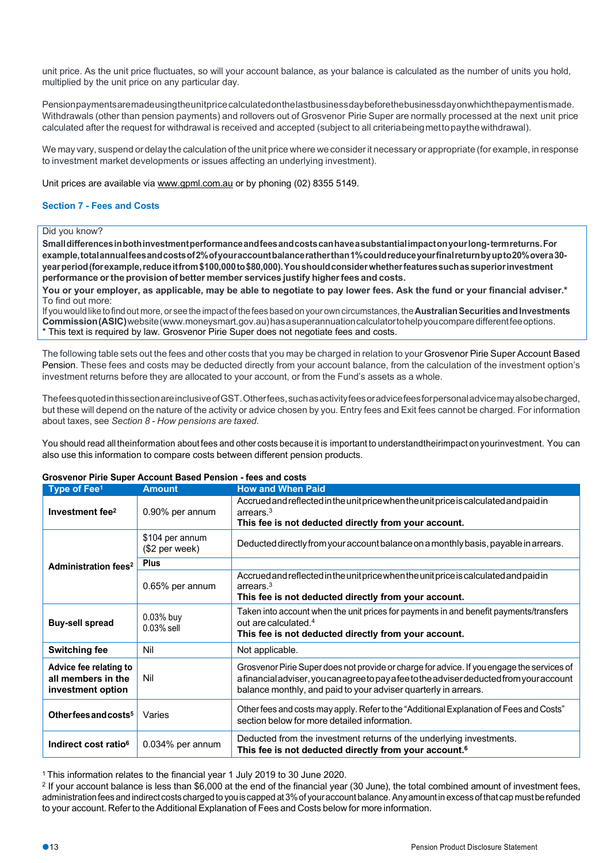unit price. As the unit price fluctuates, so will your account balance, as your balance is calculated as the number of units you hold, multiplied by the unit price on any particular day.

Pensionpaymentsaremadeusingtheunitpricecalculatedonthelastbusinessdaybeforethebusinessdayonwhichthepaymentismade. Withdrawals (other than pension payments) and rollovers out of Grosvenor Pirie Super are normally processed at the next unit price calculated after the request for withdrawal is received and accepted (subject to all criteriabeingmettopaythewithdrawal).

We may vary, suspend or delay the calculation of the unit price where we considerit necessary or appropriate (for example, in response to investment market developments or issues affecting an underlying investment).

Unit prices are available via www.gpml.com.au or by phoning (02) 8355 5149.

# **Section 7 - Fees and Costs**

# Did you know?

**Smalldifferencesinbothinvestmentperformanceandfeesandcostscanhaveasubstantialimpactonyourlong-termreturns.For example,totalannualfeesandcostsof2%ofyouraccountbalanceratherthan1%couldreduceyourfinalreturnbyupto20%overa30 yearperiod(forexample,reduceitfrom\$100,000to\$80,000).Youshouldconsiderwhetherfeaturessuchassuperiorinvestment performance orthe provision of better member services justify higherfees and costs.**

**You or your employer, as applicable, may be able to negotiate to pay lower fees. Ask the fund or your financial adviser.\*** To find out more:

If you would like to find out more, or see the impact of the fees based on your own circumstances, the **Australian Securities and Investments Commission(ASIC)**website(www.moneysmart.gov.au)hasasuperannuationcalculatortohelpyoucomparedifferentfeeoptions. \* This text is required by law. Grosvenor Pirie Super does not negotiate fees and costs.

The following table sets out the fees and other costs that you may be charged in relation to your Grosvenor Pirie Super Account Based Pension. These fees and costs may be deducted directly from your account balance, from the calculation of the investment option's investment returns before they are allocated to your account, or from the Fund's assets as a whole.

ThefeesquotedinthissectionareinclusiveofGST.Otherfees,suchasactivityfeesoradvicefeesforpersonaladvicemayalsobecharged, but these will depend on the nature of the activity or advice chosen by you. Entry fees and Exit fees cannot be charged. For information about taxes, see *Section 8 - How pensions are taxed*.

You should read all theinformation about fees and other costs because it is important to understandtheirimpact on yourinvestment. You can also use this information to compare costs between different pension products.

| Type of Fee <sup>1</sup>                                          | <b>Amount</b>                     | <b>How and When Paid</b>                                                                                                                                                                                                                                  |
|-------------------------------------------------------------------|-----------------------------------|-----------------------------------------------------------------------------------------------------------------------------------------------------------------------------------------------------------------------------------------------------------|
| Investment fee <sup>2</sup>                                       | 0.90% per annum                   | Accrued and reflected in the unit price when the unit price is calculated and paid in<br>arrears. <sup>3</sup><br>This fee is not deducted directly from your account.                                                                                    |
|                                                                   | \$104 per annum<br>(\$2 per week) | Deducted directly from your account balance on a monthly basis, payable in arrears.                                                                                                                                                                       |
| Administration fees <sup>2</sup>                                  | <b>Plus</b>                       |                                                                                                                                                                                                                                                           |
|                                                                   | 0.65% per annum                   | Accrued and reflected in the unit price when the unit price is calculated and paid in<br>arrears. <sup>3</sup><br>This fee is not deducted directly from your account.                                                                                    |
| <b>Buy-sell spread</b>                                            | $0.03%$ buy<br>$0.03\%$ sell      | Taken into account when the unit prices for payments in and benefit payments/transfers<br>out are calculated. <sup>4</sup><br>This fee is not deducted directly from your account.                                                                        |
| <b>Switching fee</b>                                              | Nil                               | Not applicable.                                                                                                                                                                                                                                           |
| Advice fee relating to<br>all members in the<br>investment option | Nil                               | Grosvenor Pirie Super does not provide or charge for advice. If you engage the services of<br>afinancial adviser, you can agree to pay a fee to the adviser deducted from your account<br>balance monthly, and paid to your adviser quarterly in arrears. |
| Other fees and costs <sup>5</sup>                                 | Varies                            | Other fees and costs may apply. Refer to the "Additional Explanation of Fees and Costs"<br>section below for more detailed information.                                                                                                                   |
| Indirect cost ratio <sup>6</sup>                                  | $0.034\%$ per annum               | Deducted from the investment returns of the underlying investments.<br>This fee is not deducted directly from your account. <sup>6</sup>                                                                                                                  |

**Grosvenor Pirie Super Account Based Pension - fees and costs**

1 This information relates to the financial year 1 July 2019 to 30 June 2020.

<sup>2</sup> If your account balance is less than \$6,000 at the end of the financial year (30 June), the total combined amount of investment fees, administration fees and indirect costs charged to you is capped at 3% of your account balance. Any amount in excess of that cap must be refunded to your account. Refer to the Additional Explanation of Fees and Costs below for more information.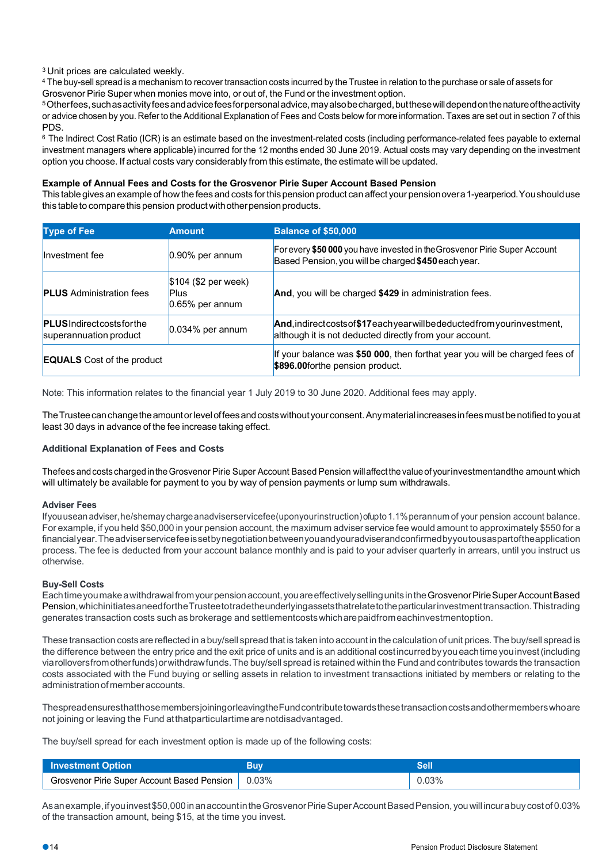3 Unit prices are calculated weekly.

<sup>4</sup> The buy-sell spread is a mechanism to recover transaction costs incurred by the Trustee in relation to the purchase or sale of assets for Grosvenor Pirie Super when monies move into, or out of, the Fund or the investment option.

5Otherfees,suchasactivityfeesandadvicefeesforpersonaladvice,mayalsobecharged,butthesewilldependonthenatureoftheactivity or advice chosen by you. Refer to the Additional Explanation of Fees and Costs below for more information. Taxes are set out in section 7 of this PDS.

<sup>6</sup> The Indirect Cost Ratio (ICR) is an estimate based on the investment-related costs (including performance-related fees payable to external investment managers where applicable) incurred for the 12 months ended 30 June 2019. Actual costs may vary depending on the investment option you choose. If actual costs vary considerably from this estimate, the estimate will be updated.

## **Example of Annual Fees and Costs for the Grosvenor Pirie Super Account Based Pension**

This tablegives an example of howthe fees and costs forthis pension product can affect your pensionovera1-yearperiod.Youshoulduse this table to compare this pension product with other pension products.

| <b>Type of Fee</b>                                           | <b>Amount</b>                                             | <b>Balance of \$50,000</b>                                                                                                             |
|--------------------------------------------------------------|-----------------------------------------------------------|----------------------------------------------------------------------------------------------------------------------------------------|
| Investment fee                                               | $0.90\%$ per annum                                        | For every \$50 000 you have invested in the Grosvenor Pirie Super Account<br>Based Pension, you will be charged \$450 each year.       |
| <b>PLUS</b> Administration fees                              | $$104$ (\$2 per week)<br><b>Plus</b><br>$0.65%$ per annum | And, you will be charged \$429 in administration fees.                                                                                 |
| <b>PLUS</b> Indirect costs for the<br>superannuation product | $0.034\%$ per annum                                       | And, indirect costs of \$17each year will be deducted from your investment,<br>although it is not deducted directly from your account. |
| <b>EQUALS</b> Cost of the product                            |                                                           | If your balance was \$50 000, then forthat year you will be charged fees of<br>\$896.00forthe pension product.                         |

Note: This information relates to the financial year 1 July 2019 to 30 June 2020. Additional fees may apply.

TheTrusteecanchangetheamountorleveloffeesandcostswithout yourconsent.Anymaterial increasesinfeesmustbenotifiedtoyouat least 30 days in advance of the fee increase taking effect.

#### **Additional Explanation of Fees and Costs**

Thefees and costs charged in the Grosvenor Pirie Super Account Based Pension will affect the value of yourinvestmentandthe amount which will ultimately be available for payment to you by way of pension payments or lump sum withdrawals.

#### **Adviser Fees**

Ifyouusean adviser,he/shemay chargeanadviserservicefee(uponyourinstruction)ofupto1.1%perannum of your pension account balance. For example, if you held \$50,000 in your pension account, the maximum adviser service fee would amount to approximately \$550 for a financialyear.Theadviserservicefeeissetbynegotiationbetweenyouandyouradviserandconfirmedbyyoutousaspartoftheapplication process. The fee is deducted from your account balance monthly and is paid to your adviser quarterly in arrears, until you instruct us otherwise.

#### **Buy-Sell Costs**

Eachtimeyoumakeawithdrawalfromyourpensionaccount,youareeffectivelysellingunitsintheGrosvenorPirieSuperAccountBased Pension,whichinitiatesaneedfortheTrusteetotradetheunderlyingassetsthatrelatetotheparticularinvestmenttransaction.Thistrading generates transaction costs such as brokerage and settlementcostswhicharepaidfromeachinvestmentoption.

These transaction costs are reflected in a buy/sell spread that is taken into account in the calculation of unit prices.The buy/sell spread is the difference between the entry price and the exit price of units and is an additional costincurredbyyoueachtimeyouinvest(including viarolloversfromotherfunds)orwithdrawfunds.The buy/sell spread is retained within the Fund and contributes towards the transaction costs associated with the Fund buying or selling assets in relation to investment transactions initiated by members or relating to the administrationofmemberaccounts.

ThespreadensuresthatthosemembersjoiningorleavingtheFundcontributetowardsthesetransactioncostsandothermemberswhoare not joining or leaving the Fund atthatparticulartime arenotdisadvantaged.

The buy/sell spread for each investment option is made up of the following costs:

| <b>Investment Option</b>                            | 3uv |       |
|-----------------------------------------------------|-----|-------|
| Grosvenor Pirie Super Account Based Pension   0.03% |     | 0.03% |

As an example, if you invest \$50,000 in an account in the Grosvenor Pirie Super Account Based Pension, you will incura buy cost of 0.03% of the transaction amount, being \$15, at the time you invest.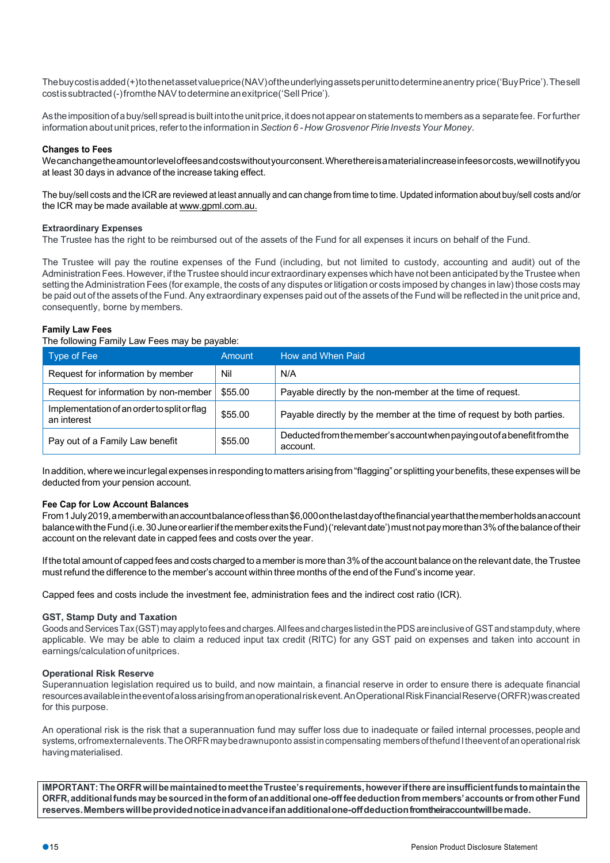Thebuycostisadded(+)tothenetassetvalueprice(NAV)oftheunderlyingassetsperunittodetermineanentry price('BuyPrice').Thesell costissubtracted(-)fromtheNAVtodetermineanexitprice('Sell Price').

Astheimpositionofabuy/sell spreadis builtintotheunitprice,itdoesnotappearonstatements tomembers asa separatefee. Forfurther information about unit prices, referto the information in *Section 6 -How Grosvenor PirieInvestsYour Money*.

# **Changes to Fees**

Wecanchangetheamountorleveloffeesandcostswithoutyourconsent.Wherethereisamaterialincreaseinfeesorcosts,wewillnotifyyou at least 30 days in advance of the increase taking effect.

The buy/sell costs and the ICR are reviewed at least annually and can change from time to time. Updated information about buy/sell costs and/or the ICR may be made available at www.gpml.com.au.

#### **Extraordinary Expenses**

The Trustee has the right to be reimbursed out of the assets of the Fund for all expenses it incurs on behalf of the Fund.

The Trustee will pay the routine expenses of the Fund (including, but not limited to custody, accounting and audit) out of the Administration Fees. However, if the Trustee should incurextraordinary expenses which have not been anticipated by the Trustee when setting the Administration Fees (for example, the costs of any disputes or litigation or costs imposed by changes in law) those costs may be paid out of the assets of the Fund. Any extraordinary expenses paid out of the assets of the Fund will be reflected in the unit price and, consequently, borne by members.

#### **Family Law Fees**

#### The following Family Law Fees may be payable:

| Type of Fee                                                | Amount  | How and When Paid                                                                    |
|------------------------------------------------------------|---------|--------------------------------------------------------------------------------------|
| Request for information by member                          | Nil     | N/A                                                                                  |
| Request for information by non-member                      | \$55.00 | Payable directly by the non-member at the time of request.                           |
| Implementation of an order to split or flag<br>an interest | \$55.00 | Payable directly by the member at the time of request by both parties.               |
| Pay out of a Family Law benefit                            | \$55.00 | Deducted from the member's account when paying out of a benefit from the<br>account. |

In addition, where we incurlegal expenses in responding to matters arising from "flagging" or splitting your benefits, these expenses will be deducted from your pension account.

#### **Fee Cap for Low Account Balances**

From1July2019,amemberwithanaccountbalanceoflessthan\$6,000onthelastdayofthefinancialyearthatthememberholdsanaccount balance with the Fund (i.e. 30 June or earlier if the member exits the Fund) ('relevant date') must not pay more than 3% of the balance of their account on the relevant date in capped fees and costs over the year.

If the total amount of capped fees and costs charged to a memberis more than 3%of the account balance on the relevant date, theTrustee must refund the difference to the member's account within three months of the end of the Fund's income year.

Capped fees and costs include the investment fee, administration fees and the indirect cost ratio (ICR).

#### **GST, Stamp Duty and Taxation**

Goods and Services Tax (GST) may apply to fees and charges. All fees and charges listed in the PDS are inclusive of GST and stamp duty, where applicable. We may be able to claim a reduced input tax credit (RITC) for any GST paid on expenses and taken into account in earnings/calculation of unitprices.

#### **Operational Risk Reserve**

Superannuation legislation required us to build, and now maintain, a financial reserve in order to ensure there is adequate financial resourcesavailableintheeventofalossarisingfromanoperationalriskevent.AnOperationalRiskFinancialReserve(ORFR)wascreated for this purpose.

An operational risk is the risk that a superannuation fund may suffer loss due to inadequate or failed internal processes, people and systems,orfromexternalevents.TheORFR maybedrawnuponto assistincompensating membersofthefund Itheevent of an operationalrisk having materialised.

**IMPORTANT:TheORFRwillbemaintainedtomeettheTrustee'srequirements, howeverifthereareinsufficientfundstomaintainthe ORFR,additionalfundsmaybesourcedintheformofanadditionalone-offfeedeductionfrommembers'accountsorfromotherFund reserves.Memberswillbeprovidednoticeinadvanceifanadditionalone-offdeductionfromtheiraccountwillbemade.**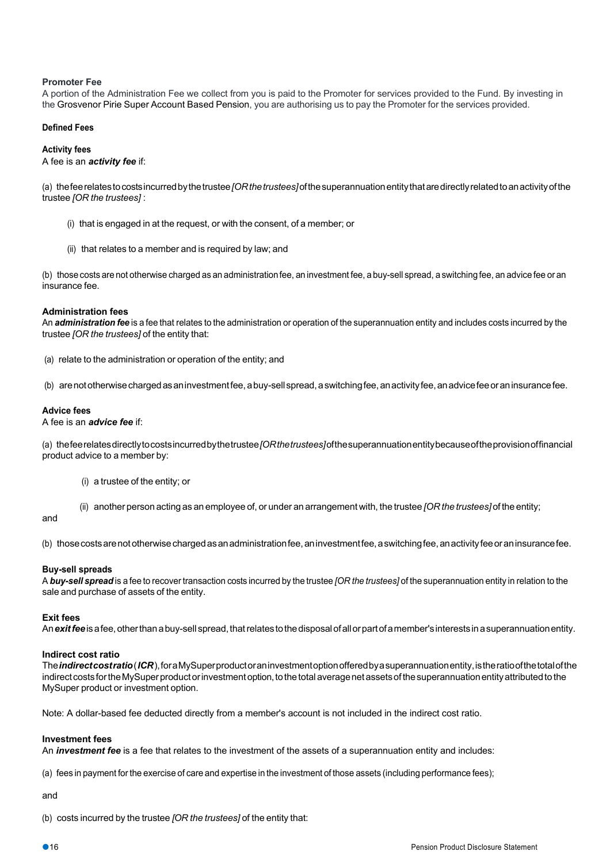# **Promoter Fee**

A portion of the Administration Fee we collect from you is paid to the Promoter for services provided to the Fund. By investing in the Grosvenor Pirie Super Account Based Pension, you are authorising us to pay the Promoter for the services provided.

#### **Defined Fees**

#### **Activity fees**

A fee is an *activity fee* if:

(a) thefeerelatestocostsincurredbythetrustee*[ORthetrustees]*ofthesuperannuationentitythataredirectlyrelatedtoanactivityofthe trustee *[OR the trustees]* :

- (i) that is engaged in at the request, or with the consent, of a member; or
- (ii) that relates to a member and is required by law; and

(b) those costs are not otherwise charged as an administrationfee, an investment fee, a buy-sell spread, a switching fee, an advice fee or an insurance fee.

#### **Administration fees**

An *administration fee* is a fee that relates to the administration or operation of the superannuation entity and includes costs incurred by the trustee *[OR the trustees]* of the entity that:

(a) relate to the administration or operation of the entity; and

(b) arenototherwisechargedasaninvestmentfee,abuy-sellspread,aswitchingfee,anactivityfee,anadvicefeeoraninsurancefee.

#### **Advice fees**

A fee is an *advice fee* if:

(a) thefeerelatesdirectlytocostsincurredbythetrustee*[ORthetrustees]*ofthesuperannuationentitybecauseoftheprovisionoffinancial product advice to a member by:

- (i) a trustee of the entity; or
- (ii) another person acting as an employee of, or under an arrangement with, the trustee *[OR the trustees]* of the entity;

#### and

(b) thosecostsarenototherwisechargedasanadministrationfee,aninvestmentfee,aswitchingfee,anactivityfeeoraninsurancefee.

#### **Buy-sell spreads**

A *buy-sell spread* is a fee to recover transaction costs incurred by the trustee *[OR the trustees]* of the superannuation entity in relation to the sale and purchase of assets of the entity.

#### **Exit fees**

An *exit fee* is a fee, other than a buy-sell spread, that relates to the disposal of all or part of a member's interests in a superannuation entity.

#### **Indirect cost ratio**

The*indirectcostratio*(*ICR*),foraMySuperproductoraninvestmentoptionofferedbyasuperannuationentity,istheratioofthetotalofthe indirect costs for the MySuper product or investment option, to the total average net assets of the superannuation entity attributed to the MySuper product or investment option.

Note: A dollar-based fee deducted directly from a member's account is not included in the indirect cost ratio.

#### **Investment fees**

An *investment fee* is a fee that relates to the investment of the assets of a superannuation entity and includes:

(a) fees in payment forthe exercise of care and expertise in the investment of those assets (including performance fees);

and

(b) costs incurred by the trustee *[OR the trustees]* of the entity that: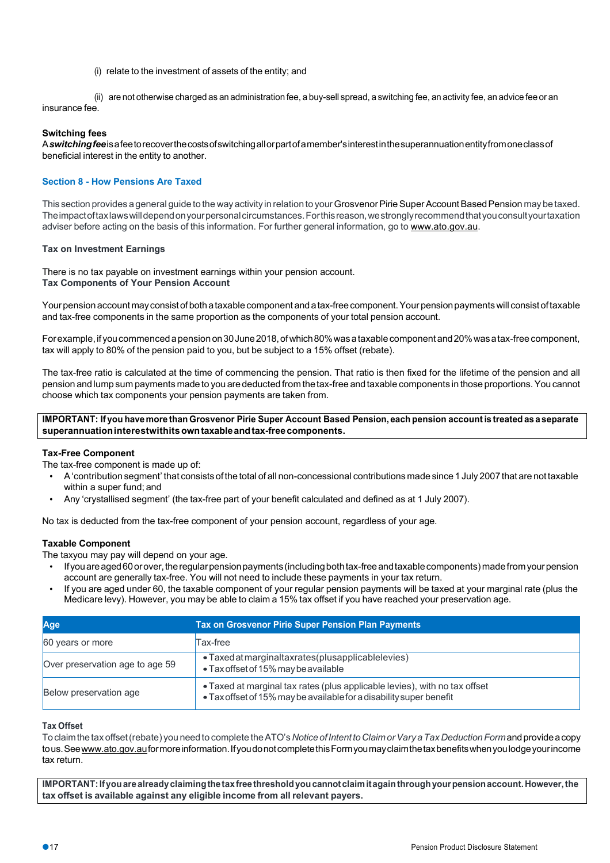(i) relate to the investment of assets of the entity; and

(ii) are not otherwise charged as an administration fee, a buy-sell spread, a switching fee, an activity fee, an advice fee or an insurance fee.

# **Switching fees**

A*switchingfee*isafeetorecoverthecostsofswitchingallorpartofamember'sinterestinthesuperannuationentityfromoneclassof beneficial interest in the entity to another.

# **Section 8 - How Pensions Are Taxed**

This section provides a general quide to the way activity in relation to your Grosvenor Pirie Super Account Based Pension may be taxed. Theimpactoftaxlawswilldependonyourpersonalcircumstances.Forthisreason,westronglyrecommendthatyouconsultyourtaxation adviser before acting on the basis of this information. For further general information, go to www.ato.gov.au.

#### **Tax on Investment Earnings**

There is no tax payable on investment earnings within your pension account. **Tax Components of Your Pension Account**

Yourpensionaccount mayconsistof bothataxablecomponent andatax-freecomponent.Your pensionpaymentswill consist oftaxable and tax-free components in the same proportion as the components of your total pension account.

Forexample, if you commenced a pension on 30 June 2018, of which 80% was a taxable component and 20% was a tax-free component, tax will apply to 80% of the pension paid to you, but be subject to a 15% offset (rebate).

The tax-free ratio is calculated at the time of commencing the pension. That ratio is then fixed for the lifetime of the pension and all pension andlump sum payments madeto you are deducted from thetax-free andtaxable components in those proportions.You cannot choose which tax components your pension payments are taken from.

# IMPORTANT: If you have more than Grosvenor Pirie Super Account Based Pension, each pension account is treated as a separate **superannuationinterestwithitsowntaxableandtax-freecomponents.**

#### **Tax-Free Component**

The tax-free component is made up of:

- A'contribution segment' that consists of the total of all non-concessional contributions made since 1 July 2007 that are not taxable within a super fund; and
- Any 'crystallised segment' (the tax-free part of your benefit calculated and defined as at 1 July 2007).

No tax is deducted from the tax-free component of your pension account, regardless of your age.

#### **Taxable Component**

The taxyou may pay will depend on your age.

- Ifyouareaged60orover,theregularpensionpayments(includingbothtax-freeandtaxablecomponents) madefromyourpension account are generally tax-free. You will not need to include these payments in your tax return.
- If you are aged under 60, the taxable component of your regular pension payments will be taxed at your marginal rate (plus the Medicare levy). However, you may be able to claim a 15% tax offset if you have reached your preservation age.

| Age                             | <b>Tax on Grosvenor Pirie Super Pension Plan Payments</b>                                                                                         |
|---------------------------------|---------------------------------------------------------------------------------------------------------------------------------------------------|
| 60 years or more                | Tax-free                                                                                                                                          |
| Over preservation age to age 59 | • Taxed at marginal tax rates (plus applicable levies)<br>• Tax offset of 15% may be available                                                    |
| Below preservation age          | • Taxed at marginal tax rates (plus applicable levies), with no tax offset<br>• Tax offset of 15% may be available for a disability super benefit |

## **Tax Offset**

Toclaimthetax offset(rebate) you needto complete theATO's *NoticeofIntenttoClaimorVaryaTax DeductionForm*andprovideacopy tous. See www.ato.gov.auformore information. If you donot complete this Form you may claim the tax benefits when you lodge your income tax return.

**IMPORTANT:Ifyouarealreadyclaimingthetaxfreethresholdyoucannotclaimitagainthroughyourpensionaccount.However,the tax offset is available against any eligible income from all relevant payers.**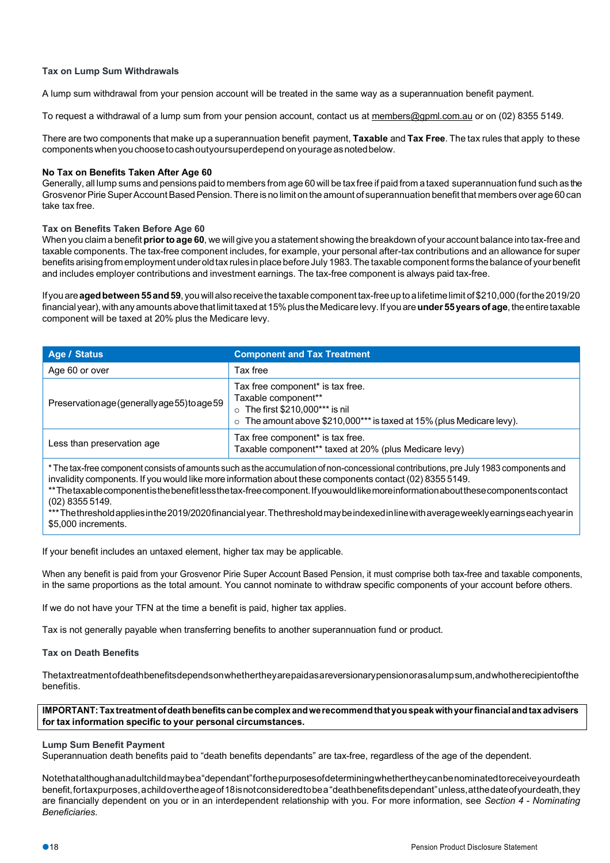# **Tax on Lump Sum Withdrawals**

A lump sum withdrawal from your pension account will be treated in the same way as a superannuation benefit payment.

To request a withdrawal of a lump sum from your pension account, contact us at members@gpml.com.au or on (02) 8355 5149.

There are two components that make up a superannuation benefit payment, **Taxable** and **Tax Free**. The tax rules that apply to these componentswhenyouchoosetocashoutyoursuperdepend onyourage asnotedbelow.

# **No Tax on Benefits Taken After Age 60**

Generally, all lump sums and pensions paid to members from age 60 will be tax free if paid from a taxed superannuation fund such as the Grosvenor Pirie Super Account Based Pension. There is no limit on the amount of superannuation benefit that members over age 60 can take tax free.

# **Tax on Benefits Taken Before Age 60**

When you claim a benefit **prior to age 60**, we will give you a statement showing the breakdown of your account balance into tax-free and taxable components. The tax-free component includes, for example, your personal after-tax contributions and an allowance for super benefits arising from employment under old tax rules in place before July 1983. The taxable component forms the balance of your benefit and includes employer contributions and investment earnings. The tax-free component is always paid tax-free.

Ifyouare**agedbetween55and59**, you willalsoreceivethetaxablecomponent tax-freeuptoalifetimelimit of\$210,000(forthe2019/20 financialyear),withanyamounts abovethatlimittaxedat 15%plustheMedicarelevy.If youare**under 55yearsof age**,theentiretaxable component will be taxed at 20% plus the Medicare levy.

| Age / Status                                  | <b>Component and Tax Treatment</b>                                                                                                                                              |  |
|-----------------------------------------------|---------------------------------------------------------------------------------------------------------------------------------------------------------------------------------|--|
| Age 60 or over                                | Tax free                                                                                                                                                                        |  |
| Preservation age (generally age 55) to age 59 | Tax free component* is tax free.<br>Taxable component**<br>$\circ$ The first \$210,000*** is nil<br>$\circ$ The amount above \$210,000*** is taxed at 15% (plus Medicare levy). |  |
| Less than preservation age                    | Tax free component* is tax free.<br>Taxable component** taxed at 20% (plus Medicare levy)                                                                                       |  |

\*The tax-free component consists of amounts such as the accumulation of non-concessional contributions, pre July 1983 components and invalidity components. If you would like more information about these components contact (02) 8355 5149.

\*\*Thetaxablecomponentisthebenefitlessthetax-freecomponent.Ifyouwouldlikemoreinformationaboutthesecomponentscontact (02) 8355 5149.

\*\*\*Thethresholdappliesinthe2019/2020financialyear.Thethresholdmaybeindexedinlinewithaverageweeklyearningseachyearin \$5,000 increments.

If your benefit includes an untaxed element, higher tax may be applicable.

When any benefit is paid from your Grosvenor Pirie Super Account Based Pension, it must comprise both tax-free and taxable components, in the same proportions as the total amount. You cannot nominate to withdraw specific components of your account before others.

If we do not have your TFN at the time a benefit is paid, higher tax applies.

Tax is not generally payable when transferring benefits to another superannuation fund or product.

#### **Tax on Death Benefits**

Thetaxtreatmentofdeathbenefitsdependsonwhethertheyarepaidasareversionarypensionorasalumpsum,andwhotherecipientofthe benefitis.

**IMPORTANT:Taxtreatmentofdeathbenefitscanbecomplex andwerecommendthatyouspeakwithyourfinancialandtaxadvisers for tax information specific to your personal circumstances.**

#### **Lump Sum Benefit Payment**

Superannuation death benefits paid to "death benefits dependants" are tax-free, regardless of the age of the dependent.

Notethatalthoughanadultchildmaybea"dependant"forthepurposesofdeterminingwhethertheycanbenominatedtoreceiveyourdeath benefit,fortaxpurposes,achildovertheageof18isnotconsideredtobea"deathbenefitsdependant"unless,atthedateofyourdeath,they are financially dependent on you or in an interdependent relationship with you. For more information, see *Section 4 - Nominating Beneficiaries*.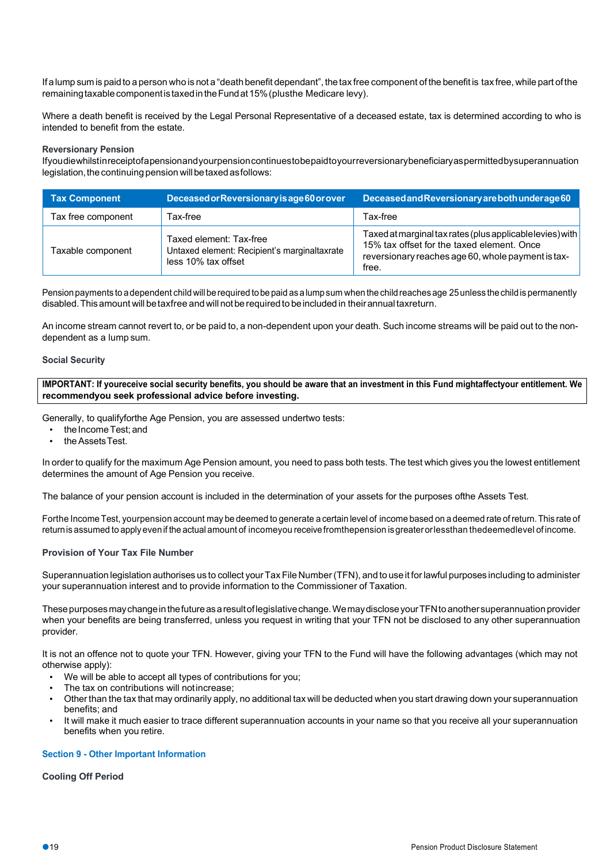If alump sum is paid to a person who is not a "death benefit dependant", thetax free component of the benefit is tax free, while part ofthe remaining taxable component is taxed in the Fund at 15% (plus the Medicare levy).

Where a death benefit is received by the Legal Personal Representative of a deceased estate, tax is determined according to who is intended to benefit from the estate.

# **Reversionary Pension**

Ifyoudiewhilstinreceiptofapensionandyourpensioncontinuestobepaidtoyourreversionarybeneficiaryaspermittedbysuperannuation legislation, the continuing pension will be taxed as follows:

| <b>Tax Component</b> | Deceased or Reversionary is age 60 or over                                                     | Deceased and Reversionary are both under age 60                                                                                                                       |
|----------------------|------------------------------------------------------------------------------------------------|-----------------------------------------------------------------------------------------------------------------------------------------------------------------------|
| Tax free component   | Tax-free                                                                                       | Tax-free                                                                                                                                                              |
| Taxable component    | Taxed element: Tax-free<br>Untaxed element: Recipient's marginaltaxrate<br>less 10% tax offset | Taxed at marginal tax rates (plus applicablelevies) with<br>15% tax offset for the taxed element. Once<br>reversionary reaches age 60, whole payment is tax-<br>free. |

Pension payments to a dependent child will be required to be paid as a lump sum when the child reaches age 25 unless the child is permanently disabled. This amount will be taxfree and will not be required to be included in their annual taxreturn.

An income stream cannot revert to, or be paid to, a non-dependent upon your death. Such income streams will be paid out to the nondependent as a lump sum.

#### **Social Security**

**IMPORTANT: If youreceive social security benefits, you should be aware that an investment in this Fund mightaffectyour entitlement. We recommendyou seek professional advice before investing.**

Generally, to qualifyforthe Age Pension, you are assessed undertwo tests:

- the Income Test; and
- the Assets Test.

In order to qualify for the maximum Age Pension amount, you need to pass both tests. The test which gives you the lowest entitlement determines the amount of Age Pension you receive.

The balance of your pension account is included in the determination of your assets for the purposes ofthe Assets Test.

Forthe Income Test, yourpension account may be deemed to generate a certain level of income based on a deemed rate of return.This rate of returnis assumed to apply evenif the actual amount of incomeyou receivefromthepension isgreaterorlessthan thedeemedlevel of income.

# **Provision of Your Tax File Number**

Superannuation legislation authorises us to collect yourTax File Number(TFN), and to use it forlawful purposes including to administer your superannuation interest and to provide information to the Commissioner of Taxation.

These purposes may change in the future as a result of legislative change. We may disclose your TFN to another superannuation provider when your benefits are being transferred, unless you request in writing that your TFN not be disclosed to any other superannuation provider.

It is not an offence not to quote your TFN. However, giving your TFN to the Fund will have the following advantages (which may not otherwise apply):

- We will be able to accept all types of contributions for you;
- The tax on contributions will not increase;
- Otherthan the tax that may ordinarily apply, no additional tax will be deducted when you start drawing down your superannuation benefits; and
- It will make it much easier to trace different superannuation accounts in your name so that you receive all your superannuation benefits when you retire.

# **Section 9 - Other Important Information**

#### **Cooling Off Period**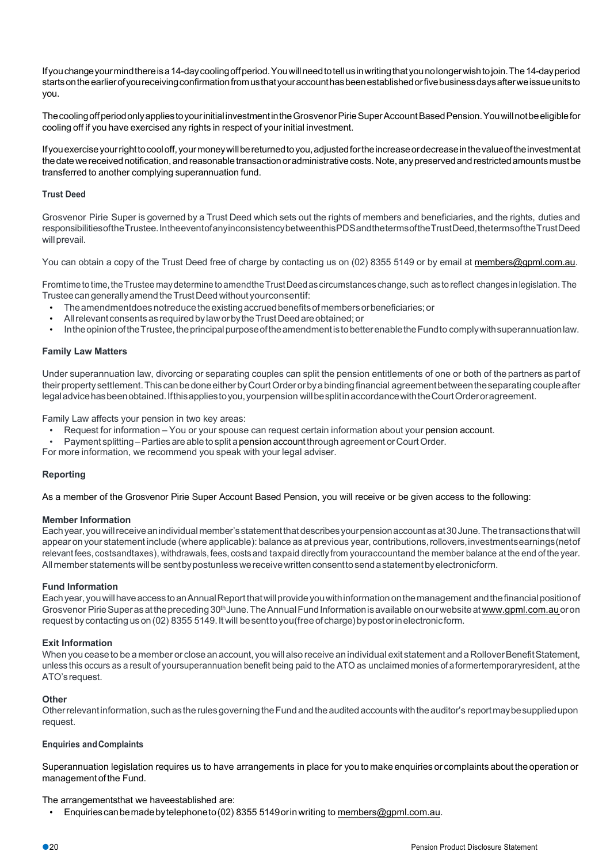Ifyouchangeyourmindthereisa14-daycoolingoffperiod.Youwillneedtotellusinwritingthatyounolongerwishtojoin.The14-dayperiod starts on the earlier of you receiving confirmation from us that your account has been established or five business days after we issue units to you.

The cooling off period only applies to your initial investment in the Grosvenor Pirie Super Account Based Pension. You will not be eligible for cooling off if you have exercised any rights in respect of your initial investment.

Ifyouexerciseyourrighttocooloff, yourmoneywillbereturnedtoyou,adjustedfortheincreaseordecreaseinthevalueoftheinvestmentat the date we received notification, and reasonable transaction or administrative costs. Note, any preserved and restricted amounts must be transferred to another complying superannuation fund.

## **Trust Deed**

Grosvenor Pirie Super is governed by a Trust Deed which sets out the rights of members and beneficiaries, and the rights, duties and responsibilitiesoftheTrustee.IntheeventofanyinconsistencybetweenthisPDSandthetermsoftheTrustDeed,thetermsoftheTrustDeed will prevail.

You can obtain a copy of the Trust Deed free of charge by contacting us on (02) 8355 5149 or by email at members@gpml.com.au.

Fromtime to time, the Trustee may determine to amendthe Trust Deed as circumstances change, such as to reflect changes in legislation. The TrusteecangenerallyamendtheTrustDeed without yourconsentif:

- The amendmentdoes notreduce the existing accrued benefits of members or beneficiaries; or
- All relevant consents as required by law or by the Trust Deed are obtained; or
- Inthe opinion of the Trustee, the principal purpose of the amendment is to better enable the Fund to comply with superannuation law.

#### **Family Law Matters**

Under superannuation law, divorcing or separating couples can split the pension entitlements of one or both of the partners as part of their property settlement. This can be done either by Court Order or by a binding financial agreement between the separating couple after legaladvicehasbeenobtained.Ifthisappliestoyou,yourpension willbesplitinaccordancewiththeCourtOrderoragreement.

Family Law affects your pension in two key areas:

- Request for information You or your spouse can request certain information about your pension account.
- Payment splitting Parties are able to split a pension account through agreement or Court Order.

For more information, we recommend you speak with your legal adviser.

#### **Reporting**

As a member of the Grosvenor Pirie Super Account Based Pension, you will receive or be given access to the following:

#### **Member Information**

Each year, you will receive an individual member's statement that describes your pension account as at 30 June. The transactions that will appear on your statement include (where applicable): balance as at previous year, contributions,rollovers,investmentsearnings(netof relevant fees, costsandtaxes), withdrawals, fees, costs and taxpaid directly from youraccountand the member balance at the end of the year. All member statements will be sent by postunless we receive written consent to send a statement by electronicform.

#### **Fund Information**

Eachyear,youwillhaveaccessto anAnnualReportthatwillprovideyouwithinformationonthemanagement andthefinancialpositionof Grosvenor Pirie Super as at the preceding 30<sup>th</sup> June. The Annual Fund Information is available on our website at www.gpml.com.au or on request by contacting us on (02) 8355 5149. It will be sent to you (free of charge) by postor in electronic form.

#### **Exit Information**

When you cease to be a member or close an account, you will also receive an individual exit statement and a Rollover Benefit Statement, unless this occurs as a result of yoursuperannuation benefit being paid to the ATO as unclaimed monies of aformertemporaryresident, atthe ATO'srequest.

## **Other**

Other relevant information, such as the rules governing the Fund and the audited accounts with the auditor's report may be supplied upon request.

## **Enquiries andComplaints**

Superannuation legislation requires us to have arrangements in place for you to make enquiries or complaints about the operation or management of the Fund.

The arrangementsthat we haveestablished are:

• Enquiriescanbemadebytelephoneto(02) 8355 5149orinwriting to members@gpml.com.au.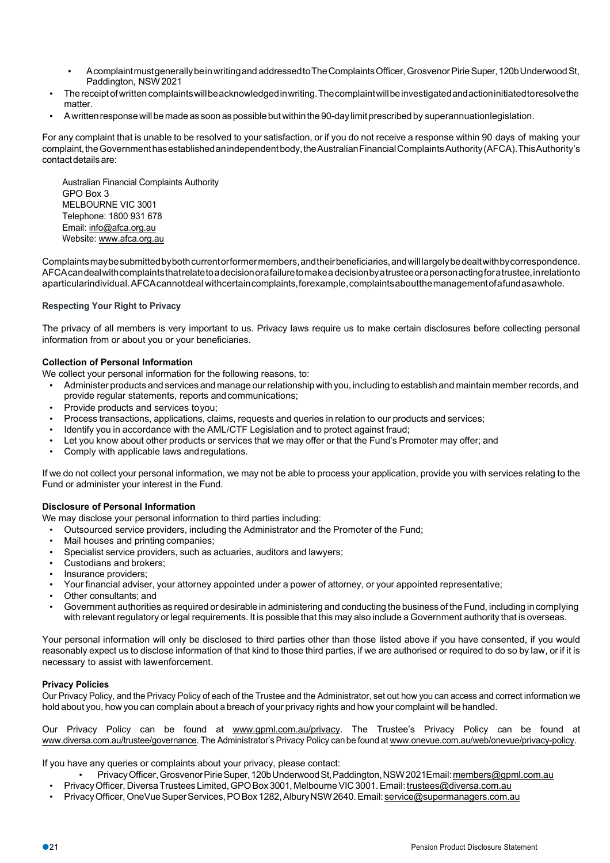- Acomplaintmustgenerallybeinwritingand addressedtoTheComplaintsOfficer,GrosvenorPirieSuper,120bUnderwoodSt, Paddington, NSW 2021
- Thereceiptofwrittencomplaintswillbeacknowledgedinwriting.Thecomplaintwillbeinvestigatedandactioninitiatedtoresolvethe matter.
- A written response will be made as soon as possible but within the 90-day limit prescribed by superannuationlegislation.

For any complaint that is unable to be resolved to your satisfaction, or if you do not receive a response within 90 days of making your complaint, the Government has established an independent body, the Australian Financial Complaints Authority (AFCA). This Authority's contact details are:

Australian Financial Complaints Authority GPO Box 3 MELBOURNE VIC 3001 Telephone: 1800 931 678 Email: info@afca.org.au Website: www.afca.org.au

Complaints may be submitted by both current or former members, and their beneficiaries, and will largely be dealt with by correspondence. AFCAcandealwithcomplaintsthatrelatetoadecisionorafailuretomakea decisionbyatrusteeorapersonactingforatrustee,inrelationto aparticularindividual.AFCAcannotdeal withcertaincomplaints,forexample,complaintsaboutthemanagementofafundasawhole.

# **Respecting Your Right to Privacy**

The privacy of all members is very important to us. Privacy laws require us to make certain disclosures before collecting personal information from or about you or your beneficiaries.

# **Collection of Personal Information**

We collect your personal information for the following reasons, to:

- Administer products and services and manage ourrelationship with you, including to establish and maintain memberrecords, and provide regular statements, reports and communications;
- Provide products and services toyou;
- Process transactions, applications, claims, requests and queries in relation to our products and services;
- Identify you in accordance with the AML/CTF Legislation and to protect against fraud;
- Let you know about other products or services that we may offer or that the Fund's Promoter may offer; and
- Comply with applicable laws andregulations.

If we do not collect your personal information, we may not be able to process your application, provide you with services relating to the Fund or administer your interest in the Fund.

#### **Disclosure of Personal Information**

We may disclose your personal information to third parties including:

- Outsourced service providers, including the Administrator and the Promoter of the Fund;
- Mail houses and printing companies;
- Specialist service providers, such as actuaries, auditors and lawyers;
- Custodians and brokers;
- Insurance providers;
- Your financial adviser, your attorney appointed under a power of attorney, or your appointed representative;
- Other consultants; and
- Government authorities as required or desirable in administering and conducting the business of the Fund, including in complying with relevant regulatory orlegal requirements. It is possible that this may also include a Government authority that is overseas.

Your personal information will only be disclosed to third parties other than those listed above if you have consented, if you would reasonably expect us to disclose information of that kind to those third parties, if we are authorised or required to do so by law, or if it is necessary to assist with lawenforcement.

# **Privacy Policies**

Our Privacy Policy, and the Privacy Policy of each of the Trustee and the Administrator, set out how you can access and correct information we hold about you, how you can complain about a breach of your privacy rights and how your complaint will be handled.

Our Privacy Policy can be found at www.gpml.com.au/privacy. The Trustee's Privacy Policy can be found at www.diversa.com.au/trustee/governance. The Administrator's Privacy Policy can be found at www.onevue.com.au/web/onevue/privacy-policy.

If you have any queries or complaints about your privacy, please contact:

- PrivacyOfficer,GrosvenorPirieSuper,120bUnderwoodSt,Paddington,NSW2021Email:members@gpml.com.au
- Privacy Officer, Diversa Trustees Limited, GPO Box 3001, Melbourne VIC 3001. Email: trustees@diversa.com.au
- Privacy Officer, OneVue Super Services, PO Box 1282, Albury NSW 2640. Email: service@supermanagers.com.au